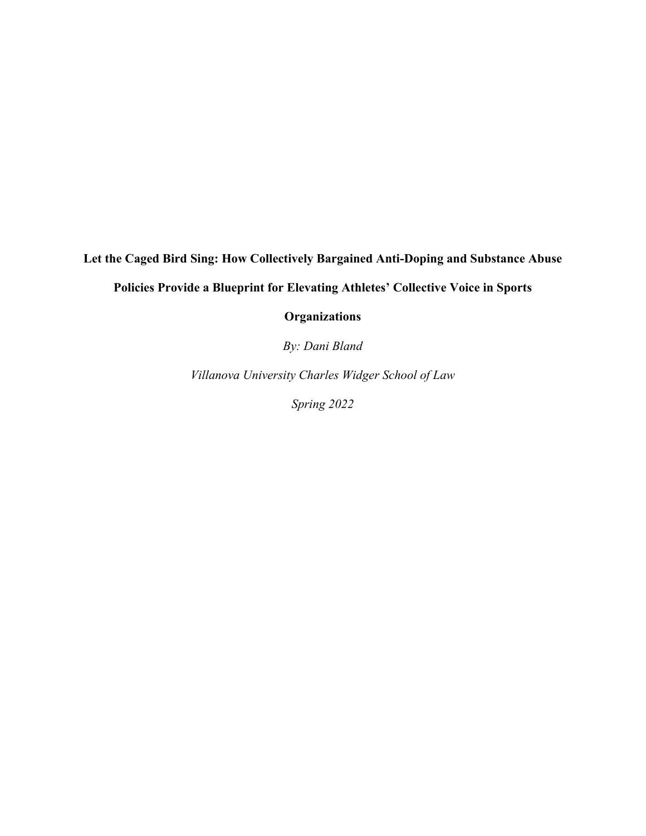# **Let the Caged Bird Sing: How Collectively Bargained Anti-Doping and Substance Abuse**

**Policies Provide a Blueprint for Elevating Athletes' Collective Voice in Sports** 

**Organizations**

*By: Dani Bland*

*Villanova University Charles Widger School of Law*

*Spring 2022*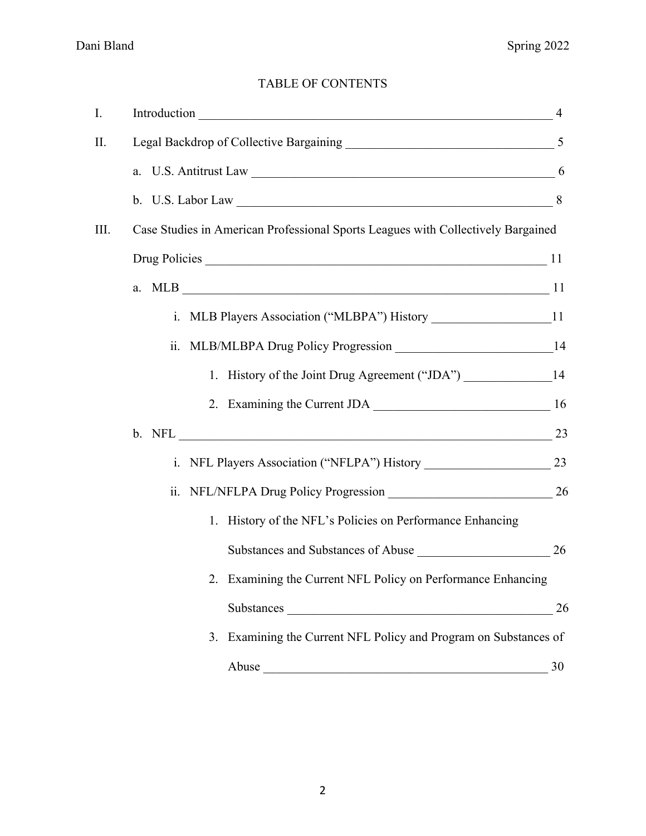### TABLE OF CONTENTS

| I. | Introduction 4                                                                                                                                                                                                                 |    |
|----|--------------------------------------------------------------------------------------------------------------------------------------------------------------------------------------------------------------------------------|----|
| П. |                                                                                                                                                                                                                                |    |
|    | a. U.S. Antitrust Law 16 and 16 and 16 and 16 and 16 and 16 and 16 and 16 and 16 and 16 and 16 and 16 and 16 and 16 and 16 and 16 and 16 and 16 and 16 and 16 and 16 and 16 and 16 and 16 and 16 and 16 and 16 and 16 and 16 a |    |
|    |                                                                                                                                                                                                                                |    |
| Ш. | Case Studies in American Professional Sports Leagues with Collectively Bargained                                                                                                                                               |    |
|    |                                                                                                                                                                                                                                |    |
|    |                                                                                                                                                                                                                                |    |
|    | i. MLB Players Association ("MLBPA") History ___________________________________11                                                                                                                                             |    |
|    | ii.                                                                                                                                                                                                                            |    |
|    | 1. History of the Joint Drug Agreement ("JDA") _________________________________14                                                                                                                                             |    |
|    |                                                                                                                                                                                                                                |    |
|    |                                                                                                                                                                                                                                | 23 |
|    |                                                                                                                                                                                                                                |    |
|    |                                                                                                                                                                                                                                |    |
|    | 1. History of the NFL's Policies on Performance Enhancing                                                                                                                                                                      |    |
|    | Substances and Substances of Abuse 26                                                                                                                                                                                          |    |
|    | 2. Examining the Current NFL Policy on Performance Enhancing                                                                                                                                                                   |    |
|    |                                                                                                                                                                                                                                | 26 |
|    | 3. Examining the Current NFL Policy and Program on Substances of                                                                                                                                                               |    |
|    | Abuse<br><u> 1988 - Jan James James James James James James James James James James James James James James James James J</u>                                                                                                  | 30 |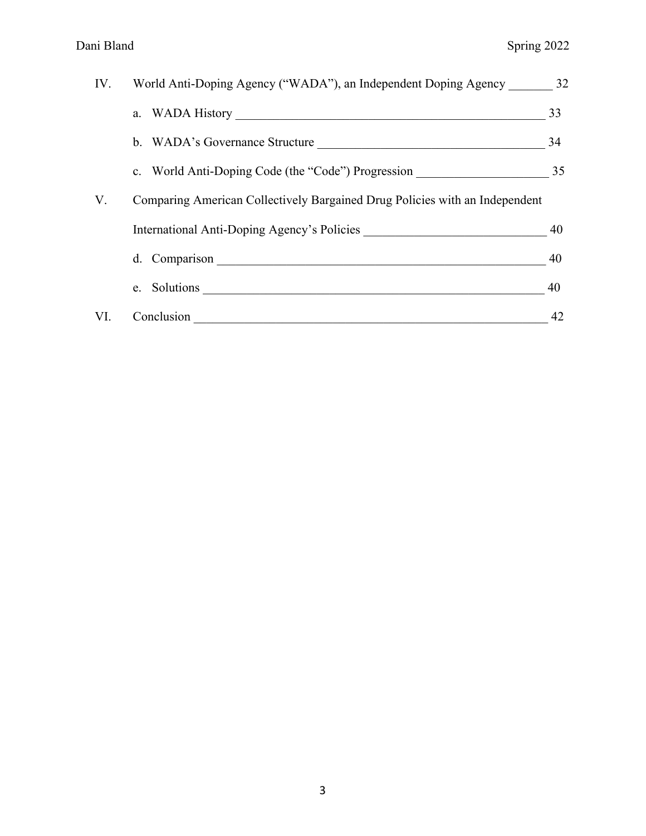| IV. | World Anti-Doping Agency ("WADA"), an Independent Doping Agency 32               |    |
|-----|----------------------------------------------------------------------------------|----|
|     |                                                                                  | 33 |
|     | b. WADA's Governance Structure                                                   | 34 |
|     | c. World Anti-Doping Code (the "Code") Progression _____________________________ | 35 |
| V.  | Comparing American Collectively Bargained Drug Policies with an Independent      |    |
|     | International Anti-Doping Agency's Policies                                      | 40 |
|     | d. Comparison                                                                    | 40 |
|     |                                                                                  | 40 |
| VI. | Conclusion                                                                       | 42 |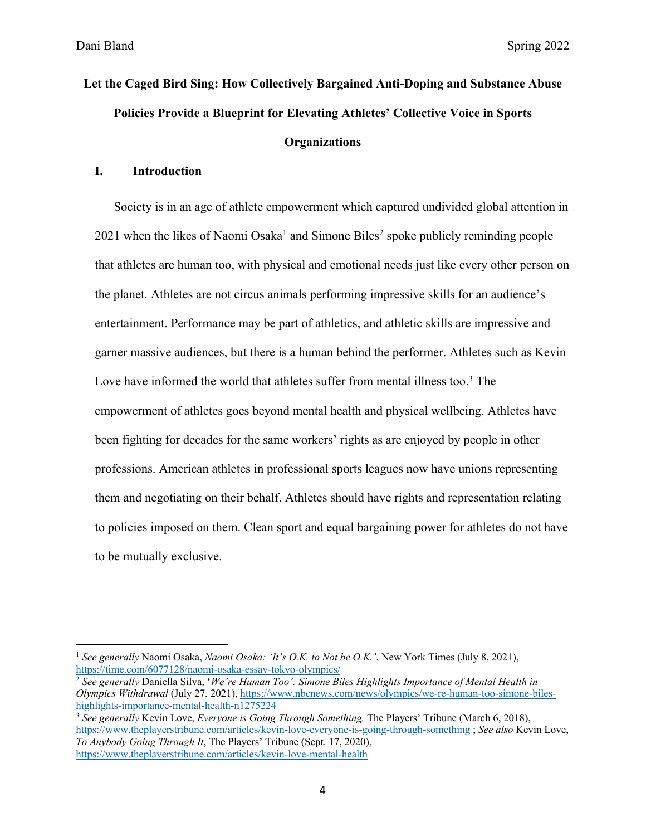# **Let the Caged Bird Sing: How Collectively Bargained Anti-Doping and Substance Abuse Policies Provide a Blueprint for Elevating Athletes' Collective Voice in Sports Organizations**

#### **I. Introduction**

Society is in an age of athlete empowerment which captured undivided global attention in  $2021$  when the likes of Naomi Osaka<sup>1</sup> and Simone Biles<sup>2</sup> spoke publicly reminding people that athletes are human too, with physical and emotional needs just like every other person on the planet. Athletes are not circus animals performing impressive skills for an audience's entertainment. Performance may be part of athletics, and athletic skills are impressive and garner massive audiences, but there is a human behind the performer. Athletes such as Kevin Love have informed the world that athletes suffer from mental illness too.<sup>3</sup> The empowerment of athletes goes beyond mental health and physical wellbeing. Athletes have been fighting for decades for the same workers' rights as are enjoyed by people in other professions. American athletes in professional sports leagues now have unions representing them and negotiating on their behalf. Athletes should have rights and representation relating to policies imposed on them. Clean sport and equal bargaining power for athletes do not have to be mutually exclusive.

<sup>1</sup> *See generally* Naomi Osaka, *Naomi Osaka: 'It's O.K. to Not be O.K.'*, New York Times (July 8, 2021), https://time.com/6077128/naomi-osaka-essay-tokyo-olympics/

<sup>2</sup> *See generally* Daniella Silva, '*We're Human Too': Simone Biles Highlights Importance of Mental Health in Olympics Withdrawal* (July 27, 2021), https://www.nbcnews.com/news/olympics/we-re-human-too-simone-bileshighlights-importance-mental-health-n1275224

<sup>3</sup> *See generally* Kevin Love, *Everyone is Going Through Something,* The Players' Tribune (March 6, 2018), https://www.theplayerstribune.com/articles/kevin-love-everyone-is-going-through-something ; *See also* Kevin Love, *To Anybody Going Through It*, The Players' Tribune (Sept. 17, 2020), https://www.theplayerstribune.com/articles/kevin-love-mental-health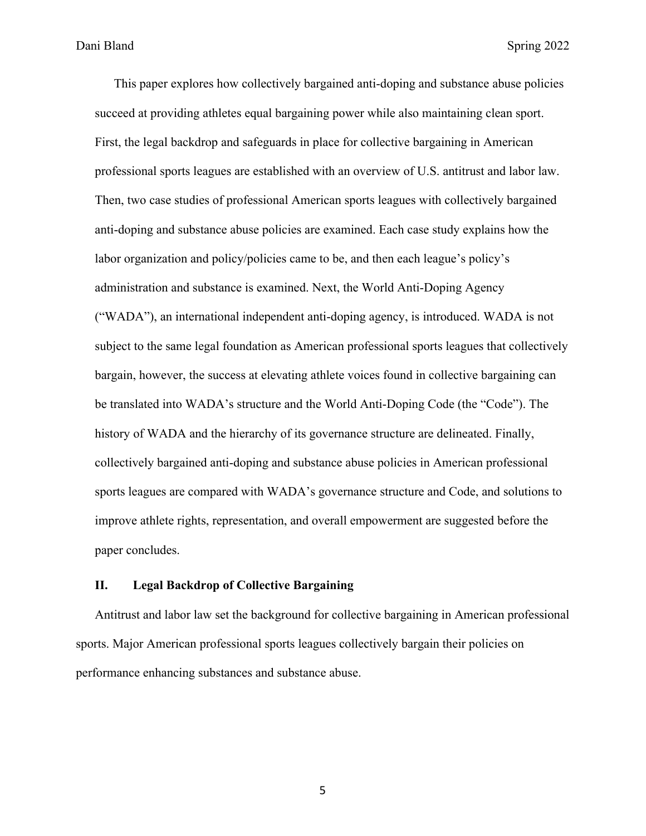This paper explores how collectively bargained anti-doping and substance abuse policies succeed at providing athletes equal bargaining power while also maintaining clean sport. First, the legal backdrop and safeguards in place for collective bargaining in American professional sports leagues are established with an overview of U.S. antitrust and labor law. Then, two case studies of professional American sports leagues with collectively bargained anti-doping and substance abuse policies are examined. Each case study explains how the labor organization and policy/policies came to be, and then each league's policy's administration and substance is examined. Next, the World Anti-Doping Agency ("WADA"), an international independent anti-doping agency, is introduced. WADA is not subject to the same legal foundation as American professional sports leagues that collectively bargain, however, the success at elevating athlete voices found in collective bargaining can be translated into WADA's structure and the World Anti-Doping Code (the "Code"). The history of WADA and the hierarchy of its governance structure are delineated. Finally, collectively bargained anti-doping and substance abuse policies in American professional sports leagues are compared with WADA's governance structure and Code, and solutions to improve athlete rights, representation, and overall empowerment are suggested before the paper concludes.

#### **II. Legal Backdrop of Collective Bargaining**

Antitrust and labor law set the background for collective bargaining in American professional sports. Major American professional sports leagues collectively bargain their policies on performance enhancing substances and substance abuse.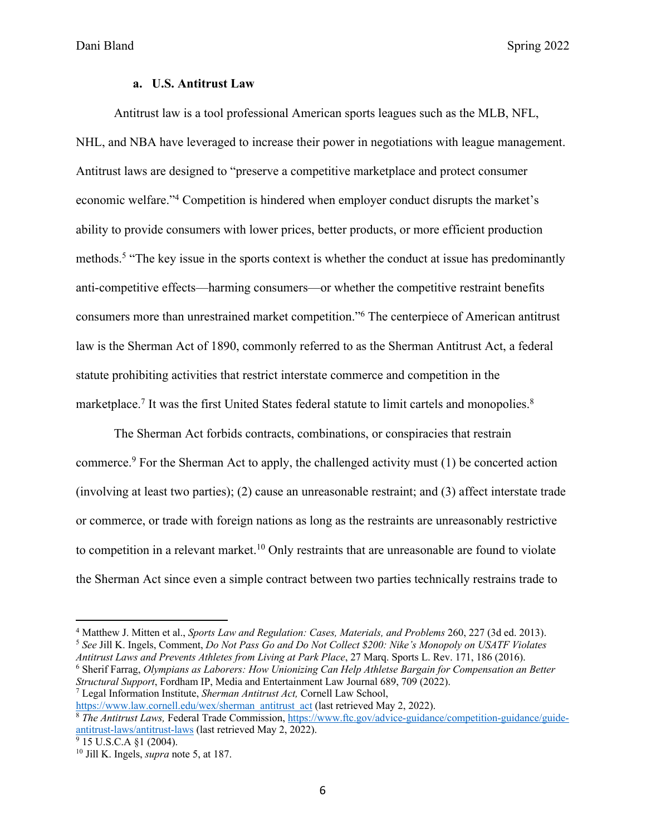#### **a. U.S. Antitrust Law**

Antitrust law is a tool professional American sports leagues such as the MLB, NFL, NHL, and NBA have leveraged to increase their power in negotiations with league management. Antitrust laws are designed to "preserve a competitive marketplace and protect consumer economic welfare."4 Competition is hindered when employer conduct disrupts the market's ability to provide consumers with lower prices, better products, or more efficient production methods.5 "The key issue in the sports context is whether the conduct at issue has predominantly anti-competitive effects—harming consumers—or whether the competitive restraint benefits consumers more than unrestrained market competition."6 The centerpiece of American antitrust law is the Sherman Act of 1890, commonly referred to as the Sherman Antitrust Act, a federal statute prohibiting activities that restrict interstate commerce and competition in the marketplace.<sup>7</sup> It was the first United States federal statute to limit cartels and monopolies.<sup>8</sup>

The Sherman Act forbids contracts, combinations, or conspiracies that restrain commerce.9 For the Sherman Act to apply, the challenged activity must (1) be concerted action (involving at least two parties); (2) cause an unreasonable restraint; and (3) affect interstate trade or commerce, or trade with foreign nations as long as the restraints are unreasonably restrictive to competition in a relevant market.<sup>10</sup> Only restraints that are unreasonable are found to violate the Sherman Act since even a simple contract between two parties technically restrains trade to

*Antitrust Laws and Prevents Athletes from Living at Park Place*, 27 Marq. Sports L. Rev. 171, 186 (2016). <sup>6</sup> Sherif Farrag, *Olympians as Laborers: How Unionizing Can Help Athletse Bargain for Compensation an Better Structural Support*, Fordham IP, Media and Entertainment Law Journal 689, 709 (2022). <sup>7</sup> Legal Information Institute, *Sherman Antitrust Act,* Cornell Law School,

https://www.law.cornell.edu/wex/sherman\_antitrust\_act (last retrieved May 2, 2022).

<sup>4</sup> Matthew J. Mitten et al., *Sports Law and Regulation: Cases, Materials, and Problems* 260, 227 (3d ed. 2013). <sup>5</sup> *See* Jill K. Ingels, Comment, *Do Not Pass Go and Do Not Collect \$200: Nike's Monopoly on USATF Violates* 

<sup>8</sup> *The Antitrust Laws,* Federal Trade Commission, https://www.ftc.gov/advice-guidance/competition-guidance/guideantitrust-laws/antitrust-laws (last retrieved May 2, 2022).

 $9$  15 U.S.C.A  $$1$  (2004).

<sup>10</sup> Jill K. Ingels, *supra* note 5, at 187.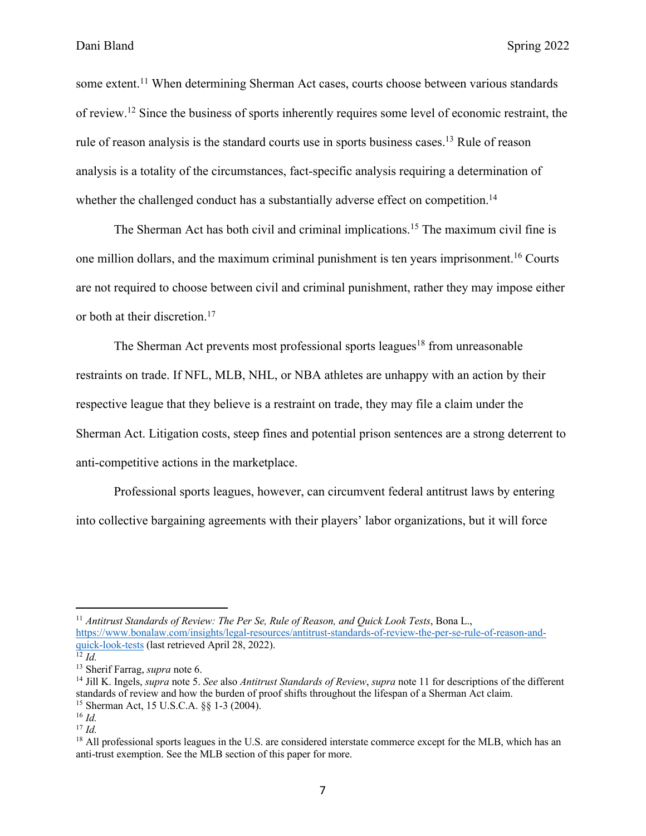some extent.<sup>11</sup> When determining Sherman Act cases, courts choose between various standards of review.12 Since the business of sports inherently requires some level of economic restraint, the rule of reason analysis is the standard courts use in sports business cases.<sup>13</sup> Rule of reason analysis is a totality of the circumstances, fact-specific analysis requiring a determination of whether the challenged conduct has a substantially adverse effect on competition.<sup>14</sup>

The Sherman Act has both civil and criminal implications.<sup>15</sup> The maximum civil fine is one million dollars, and the maximum criminal punishment is ten years imprisonment.16 Courts are not required to choose between civil and criminal punishment, rather they may impose either or both at their discretion.<sup>17</sup>

The Sherman Act prevents most professional sports leagues<sup>18</sup> from unreasonable restraints on trade. If NFL, MLB, NHL, or NBA athletes are unhappy with an action by their respective league that they believe is a restraint on trade, they may file a claim under the Sherman Act. Litigation costs, steep fines and potential prison sentences are a strong deterrent to anti-competitive actions in the marketplace.

Professional sports leagues, however, can circumvent federal antitrust laws by entering into collective bargaining agreements with their players' labor organizations, but it will force

<sup>11</sup> *Antitrust Standards of Review: The Per Se, Rule of Reason, and Quick Look Tests*, Bona L., https://www.bonalaw.com/insights/legal-resources/antitrust-standards-of-review-the-per-se-rule-of-reason-andquick-look-tests (last retrieved April 28, 2022).

 $\overline{12}$  *Id.* 

<sup>13</sup> Sherif Farrag, *supra* note 6.

<sup>14</sup> Jill K. Ingels, *supra* note 5. *See* also *Antitrust Standards of Review*, *supra* note 11 for descriptions of the different standards of review and how the burden of proof shifts throughout the lifespan of a Sherman Act claim.

<sup>15</sup> Sherman Act, 15 U.S.C.A. §§ 1-3 (2004). 16 *Id.*

<sup>17</sup> *Id.*

<sup>&</sup>lt;sup>18</sup> All professional sports leagues in the U.S. are considered interstate commerce except for the MLB, which has an anti-trust exemption. See the MLB section of this paper for more.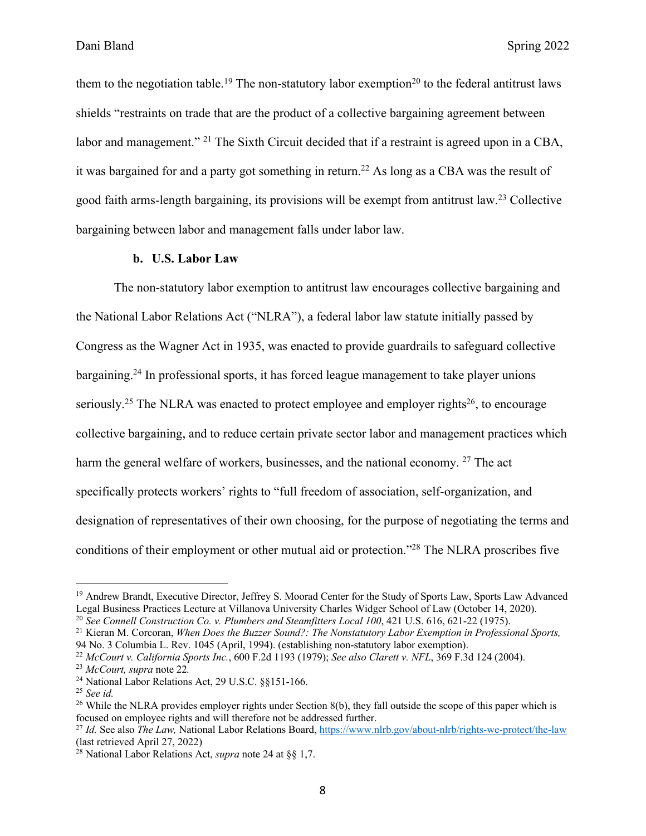them to the negotiation table.<sup>19</sup> The non-statutory labor exemption<sup>20</sup> to the federal antitrust laws shields "restraints on trade that are the product of a collective bargaining agreement between labor and management." <sup>21</sup> The Sixth Circuit decided that if a restraint is agreed upon in a CBA, it was bargained for and a party got something in return.<sup>22</sup> As long as a CBA was the result of good faith arms-length bargaining, its provisions will be exempt from antitrust law.23 Collective bargaining between labor and management falls under labor law.

#### **b. U.S. Labor Law**

The non-statutory labor exemption to antitrust law encourages collective bargaining and the National Labor Relations Act ("NLRA"), a federal labor law statute initially passed by Congress as the Wagner Act in 1935, was enacted to provide guardrails to safeguard collective bargaining.<sup>24</sup> In professional sports, it has forced league management to take player unions seriously.<sup>25</sup> The NLRA was enacted to protect employee and employer rights<sup>26</sup>, to encourage collective bargaining, and to reduce certain private sector labor and management practices which harm the general welfare of workers, businesses, and the national economy. <sup>27</sup> The act specifically protects workers' rights to "full freedom of association, self-organization, and designation of representatives of their own choosing, for the purpose of negotiating the terms and conditions of their employment or other mutual aid or protection."28 The NLRA proscribes five

<sup>&</sup>lt;sup>19</sup> Andrew Brandt, Executive Director, Jeffrey S. Moorad Center for the Study of Sports Law, Sports Law Advanced Legal Business Practices Lecture at Villanova University Charles Widger School of Law (October 14, 2020).

<sup>20</sup> *See Connell Construction Co. v. Plumbers and Steamfitters Local 100*, 421 U.S. 616, 621-22 (1975).

<sup>21</sup> Kieran M. Corcoran, *When Does the Buzzer Sound?: The Nonstatutory Labor Exemption in Professional Sports,*  94 No. 3 Columbia L. Rev. 1045 (April, 1994). (establishing non-statutory labor exemption).

<sup>22</sup> *McCourt v. California Sports Inc.*, 600 F.2d 1193 (1979); *See also Clarett v. NFL*, 369 F.3d 124 (2004).

<sup>23</sup> *McCourt, supra* note 22*.*

<sup>24</sup> National Labor Relations Act, 29 U.S.C. §§151-166.

<sup>25</sup> *See id.*

 $26$  While the NLRA provides employer rights under Section 8(b), they fall outside the scope of this paper which is focused on employee rights and will therefore not be addressed further.

<sup>&</sup>lt;sup>27</sup> *Id.* See also *The Law*, National Labor Relations Board, https://www.nlrb.gov/about-nlrb/rights-we-protect/the-law (last retrieved April 27, 2022)

<sup>28</sup> National Labor Relations Act, *supra* note 24 at §§ 1,7.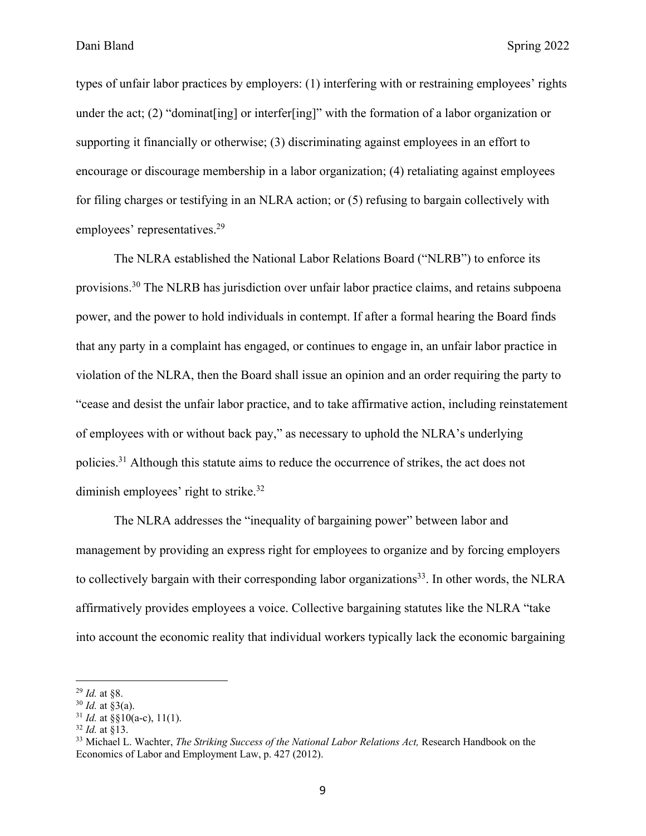types of unfair labor practices by employers: (1) interfering with or restraining employees' rights under the act; (2) "dominat[ing] or interfer[ing]" with the formation of a labor organization or supporting it financially or otherwise; (3) discriminating against employees in an effort to encourage or discourage membership in a labor organization; (4) retaliating against employees for filing charges or testifying in an NLRA action; or (5) refusing to bargain collectively with employees' representatives.<sup>29</sup>

The NLRA established the National Labor Relations Board ("NLRB") to enforce its provisions.30 The NLRB has jurisdiction over unfair labor practice claims, and retains subpoena power, and the power to hold individuals in contempt. If after a formal hearing the Board finds that any party in a complaint has engaged, or continues to engage in, an unfair labor practice in violation of the NLRA, then the Board shall issue an opinion and an order requiring the party to "cease and desist the unfair labor practice, and to take affirmative action, including reinstatement of employees with or without back pay," as necessary to uphold the NLRA's underlying policies.31 Although this statute aims to reduce the occurrence of strikes, the act does not diminish employees' right to strike.<sup>32</sup>

The NLRA addresses the "inequality of bargaining power" between labor and management by providing an express right for employees to organize and by forcing employers to collectively bargain with their corresponding labor organizations<sup>33</sup>. In other words, the NLRA affirmatively provides employees a voice. Collective bargaining statutes like the NLRA "take into account the economic reality that individual workers typically lack the economic bargaining

<sup>29</sup> *Id.* at §8.

<sup>30</sup> *Id.* at §3(a).

 $31$  *Id.* at  $\frac{8}{10}(a-c)$ , 11(1).

<sup>32</sup> *Id.* at §13.

<sup>&</sup>lt;sup>33</sup> Michael L. Wachter, *The Striking Success of the National Labor Relations Act*, Research Handbook on the Economics of Labor and Employment Law, p. 427 (2012).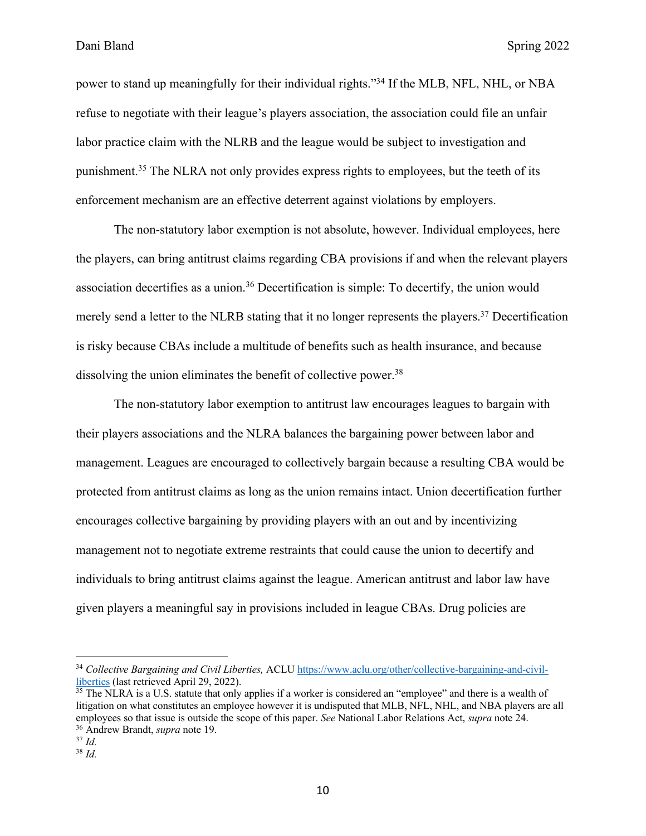power to stand up meaningfully for their individual rights."34 If the MLB, NFL, NHL, or NBA refuse to negotiate with their league's players association, the association could file an unfair labor practice claim with the NLRB and the league would be subject to investigation and punishment.35 The NLRA not only provides express rights to employees, but the teeth of its enforcement mechanism are an effective deterrent against violations by employers.

The non-statutory labor exemption is not absolute, however. Individual employees, here the players, can bring antitrust claims regarding CBA provisions if and when the relevant players association decertifies as a union.<sup>36</sup> Decertification is simple: To decertify, the union would merely send a letter to the NLRB stating that it no longer represents the players.<sup>37</sup> Decertification is risky because CBAs include a multitude of benefits such as health insurance, and because dissolving the union eliminates the benefit of collective power.<sup>38</sup>

The non-statutory labor exemption to antitrust law encourages leagues to bargain with their players associations and the NLRA balances the bargaining power between labor and management. Leagues are encouraged to collectively bargain because a resulting CBA would be protected from antitrust claims as long as the union remains intact. Union decertification further encourages collective bargaining by providing players with an out and by incentivizing management not to negotiate extreme restraints that could cause the union to decertify and individuals to bring antitrust claims against the league. American antitrust and labor law have given players a meaningful say in provisions included in league CBAs. Drug policies are

<sup>34</sup> *Collective Bargaining and Civil Liberties,* ACLU https://www.aclu.org/other/collective-bargaining-and-civilliberties (last retrieved April 29, 2022).

 $35$  The NLRA is a U.S. statute that only applies if a worker is considered an "employee" and there is a wealth of litigation on what constitutes an employee however it is undisputed that MLB, NFL, NHL, and NBA players are all employees so that issue is outside the scope of this paper. *See* National Labor Relations Act, *supra* note 24. <sup>36</sup> Andrew Brandt, *supra* note 19.

<sup>37</sup> *Id.*

<sup>38</sup> *Id.*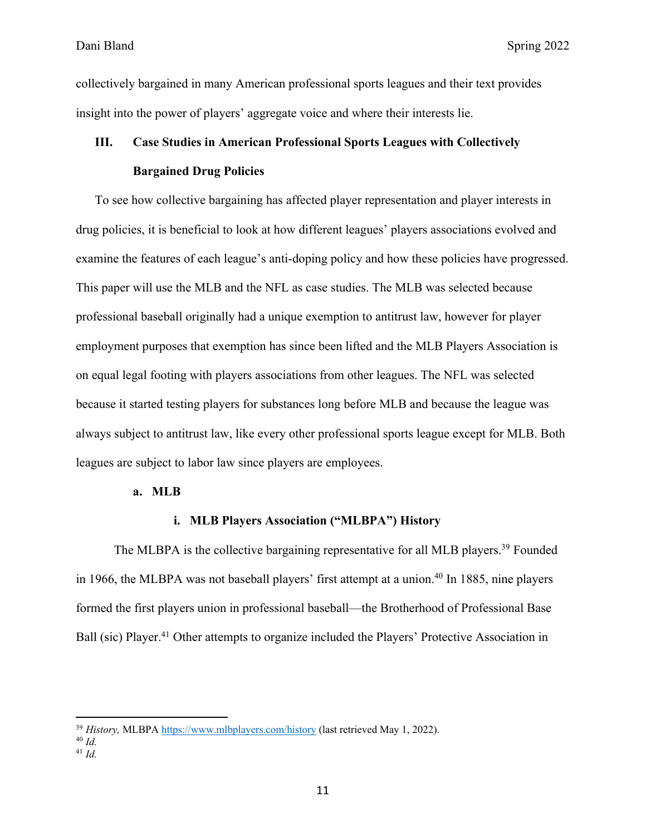collectively bargained in many American professional sports leagues and their text provides insight into the power of players' aggregate voice and where their interests lie.

## **III. Case Studies in American Professional Sports Leagues with Collectively Bargained Drug Policies**

To see how collective bargaining has affected player representation and player interests in drug policies, it is beneficial to look at how different leagues' players associations evolved and examine the features of each league's anti-doping policy and how these policies have progressed. This paper will use the MLB and the NFL as case studies. The MLB was selected because professional baseball originally had a unique exemption to antitrust law, however for player employment purposes that exemption has since been lifted and the MLB Players Association is on equal legal footing with players associations from other leagues. The NFL was selected because it started testing players for substances long before MLB and because the league was always subject to antitrust law, like every other professional sports league except for MLB. Both leagues are subject to labor law since players are employees.

#### **a. MLB**

#### **i. MLB Players Association ("MLBPA") History**

The MLBPA is the collective bargaining representative for all MLB players.<sup>39</sup> Founded in 1966, the MLBPA was not baseball players' first attempt at a union.<sup>40</sup> In 1885, nine players formed the first players union in professional baseball—the Brotherhood of Professional Base Ball (sic) Player.<sup>41</sup> Other attempts to organize included the Players' Protective Association in

<sup>39</sup> *History,* MLBPA https://www.mlbplayers.com/history (last retrieved May 1, 2022).

<sup>40</sup> *Id.*

<sup>41</sup> *Id.*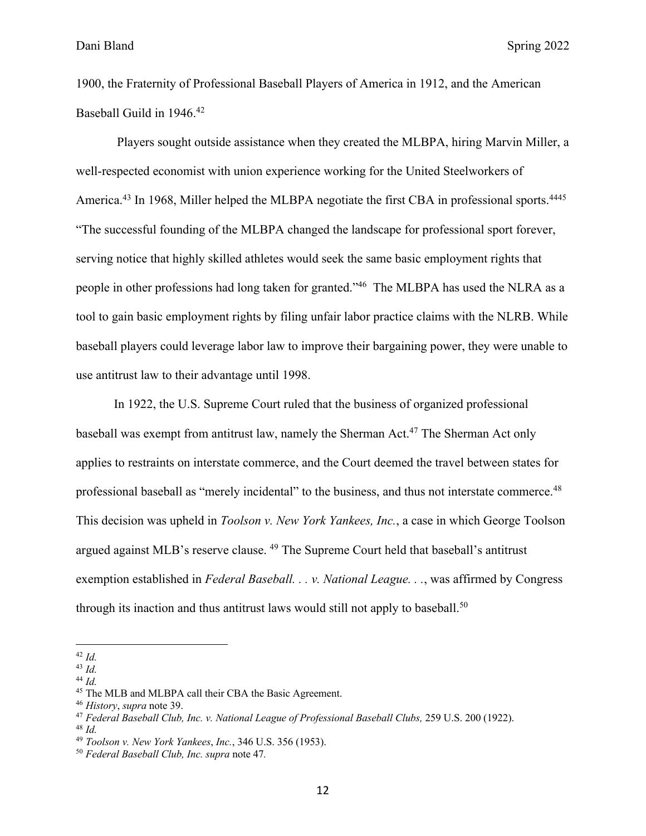1900, the Fraternity of Professional Baseball Players of America in 1912, and the American Baseball Guild in 1946. 42

Players sought outside assistance when they created the MLBPA, hiring Marvin Miller, a well-respected economist with union experience working for the United Steelworkers of America.<sup>43</sup> In 1968, Miller helped the MLBPA negotiate the first CBA in professional sports.<sup>4445</sup> "The successful founding of the MLBPA changed the landscape for professional sport forever, serving notice that highly skilled athletes would seek the same basic employment rights that people in other professions had long taken for granted."46 The MLBPA has used the NLRA as a tool to gain basic employment rights by filing unfair labor practice claims with the NLRB. While baseball players could leverage labor law to improve their bargaining power, they were unable to use antitrust law to their advantage until 1998.

In 1922, the U.S. Supreme Court ruled that the business of organized professional baseball was exempt from antitrust law, namely the Sherman Act.47 The Sherman Act only applies to restraints on interstate commerce, and the Court deemed the travel between states for professional baseball as "merely incidental" to the business, and thus not interstate commerce.<sup>48</sup> This decision was upheld in *Toolson v. New York Yankees, Inc.*, a case in which George Toolson argued against MLB's reserve clause. 49 The Supreme Court held that baseball's antitrust exemption established in *Federal Baseball. . . v. National League. . .*, was affirmed by Congress through its inaction and thus antitrust laws would still not apply to baseball.<sup>50</sup>

<sup>42</sup> *Id.*

<sup>43</sup> *Id.*

<sup>44</sup> *Id.*

<sup>45</sup> The MLB and MLBPA call their CBA the Basic Agreement.

<sup>46</sup> *History*, *supra* note 39.

<sup>47</sup> *Federal Baseball Club, Inc. v. National League of Professional Baseball Clubs,* 259 U.S. 200 (1922).

<sup>48</sup> *Id.*

<sup>49</sup> *Toolson v. New York Yankees*, *Inc.*, 346 U.S. 356 (1953).

<sup>50</sup> *Federal Baseball Club, Inc. supra* note 47*.*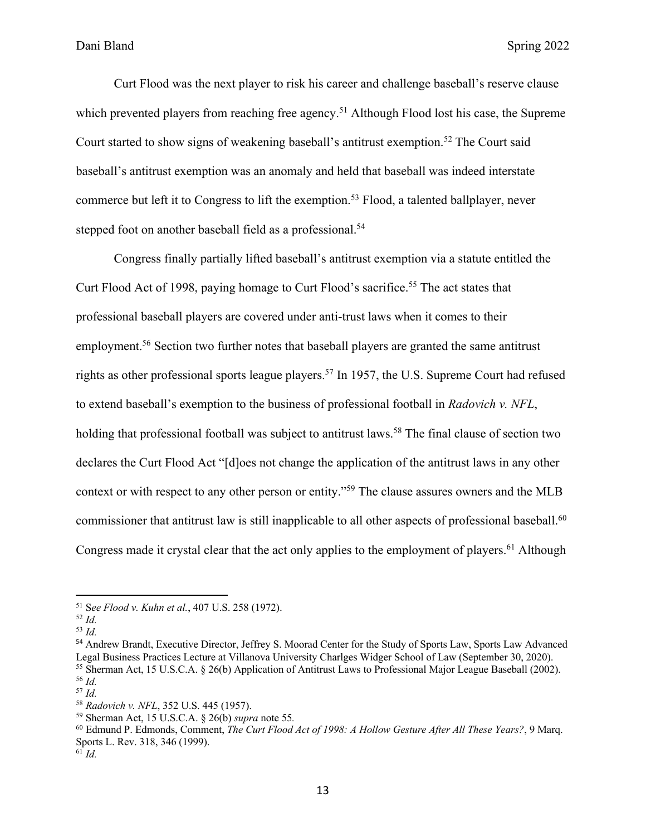Curt Flood was the next player to risk his career and challenge baseball's reserve clause which prevented players from reaching free agency.<sup>51</sup> Although Flood lost his case, the Supreme Court started to show signs of weakening baseball's antitrust exemption.<sup>52</sup> The Court said baseball's antitrust exemption was an anomaly and held that baseball was indeed interstate commerce but left it to Congress to lift the exemption.<sup>53</sup> Flood, a talented ballplayer, never stepped foot on another baseball field as a professional.<sup>54</sup>

Congress finally partially lifted baseball's antitrust exemption via a statute entitled the Curt Flood Act of 1998, paying homage to Curt Flood's sacrifice.<sup>55</sup> The act states that professional baseball players are covered under anti-trust laws when it comes to their employment.<sup>56</sup> Section two further notes that baseball players are granted the same antitrust rights as other professional sports league players.<sup>57</sup> In 1957, the U.S. Supreme Court had refused to extend baseball's exemption to the business of professional football in *Radovich v. NFL*, holding that professional football was subject to antitrust laws.<sup>58</sup> The final clause of section two declares the Curt Flood Act "[d]oes not change the application of the antitrust laws in any other context or with respect to any other person or entity."59 The clause assures owners and the MLB commissioner that antitrust law is still inapplicable to all other aspects of professional baseball.<sup>60</sup> Congress made it crystal clear that the act only applies to the employment of players.<sup>61</sup> Although

<sup>51</sup> S*ee Flood v. Kuhn et al.*, 407 U.S. 258 (1972).

<sup>52</sup> *Id.*

<sup>53</sup> *Id.*

<sup>54</sup> Andrew Brandt, Executive Director, Jeffrey S. Moorad Center for the Study of Sports Law, Sports Law Advanced Legal Business Practices Lecture at Villanova University Charlges Widger School of Law (September 30, 2020). <sup>55</sup> Sherman Act, 15 U.S.C.A. § 26(b) Application of Antitrust Laws to Professional Major League Baseball (2002). <sup>56</sup> *Id.*

<sup>57</sup> *Id.*

<sup>58</sup> *Radovich v. NFL*, 352 U.S. 445 (1957).

<sup>59</sup> Sherman Act, 15 U.S.C.A. § 26(b) *supra* note 55*.*

<sup>60</sup> Edmund P. Edmonds, Comment, *The Curt Flood Act of 1998: A Hollow Gesture After All These Years?*, 9 Marq. Sports L. Rev. 318, 346 (1999).

 $^{61}$  *Id.*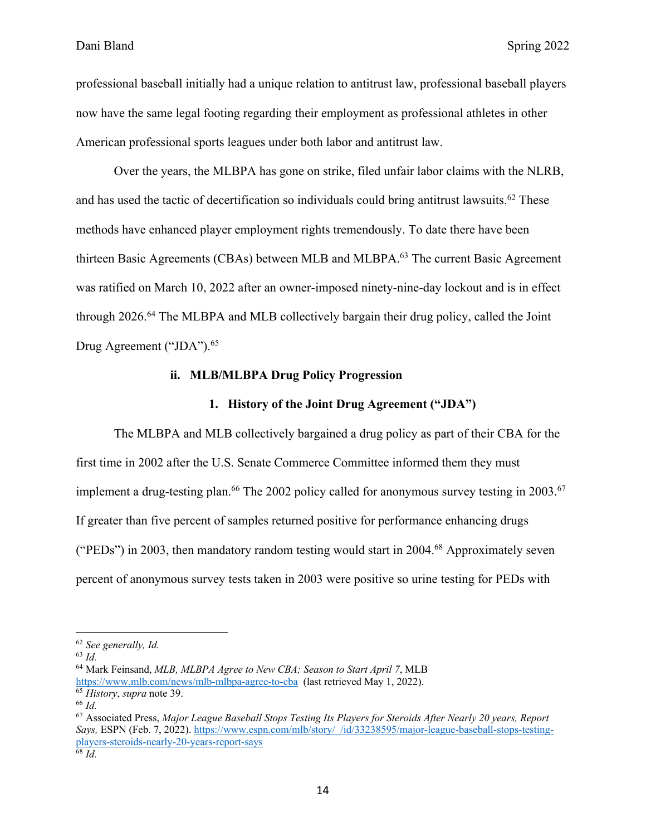professional baseball initially had a unique relation to antitrust law, professional baseball players now have the same legal footing regarding their employment as professional athletes in other American professional sports leagues under both labor and antitrust law.

Over the years, the MLBPA has gone on strike, filed unfair labor claims with the NLRB, and has used the tactic of decertification so individuals could bring antitrust lawsuits.<sup>62</sup> These methods have enhanced player employment rights tremendously. To date there have been thirteen Basic Agreements (CBAs) between MLB and MLBPA.<sup>63</sup> The current Basic Agreement was ratified on March 10, 2022 after an owner-imposed ninety-nine-day lockout and is in effect through 2026.<sup>64</sup> The MLBPA and MLB collectively bargain their drug policy, called the Joint Drug Agreement ("JDA").<sup>65</sup>

#### **ii. MLB/MLBPA Drug Policy Progression**

#### **1. History of the Joint Drug Agreement ("JDA")**

The MLBPA and MLB collectively bargained a drug policy as part of their CBA for the first time in 2002 after the U.S. Senate Commerce Committee informed them they must implement a drug-testing plan.<sup>66</sup> The 2002 policy called for anonymous survey testing in 2003.<sup>67</sup> If greater than five percent of samples returned positive for performance enhancing drugs ("PEDs") in 2003, then mandatory random testing would start in 2004.<sup>68</sup> Approximately seven percent of anonymous survey tests taken in 2003 were positive so urine testing for PEDs with

<sup>62</sup> *See generally, Id.*

<sup>63</sup> *Id.*

<sup>64</sup> Mark Feinsand, *MLB, MLBPA Agree to New CBA; Season to Start April 7*, MLB https://www.mlb.com/news/mlb-mlbpa-agree-to-cba (last retrieved May 1, 2022). <sup>65</sup> *History*, *supra* note 39.

<sup>66</sup> *Id.*

<sup>67</sup> Associated Press, *Major League Baseball Stops Testing Its Players for Steroids After Nearly 20 years, Report Says,* ESPN (Feb. 7, 2022). https://www.espn.com/mlb/story/\_/id/33238595/major-league-baseball-stops-testingplayers-steroids-nearly-20-years-report-says <sup>68</sup> *Id.*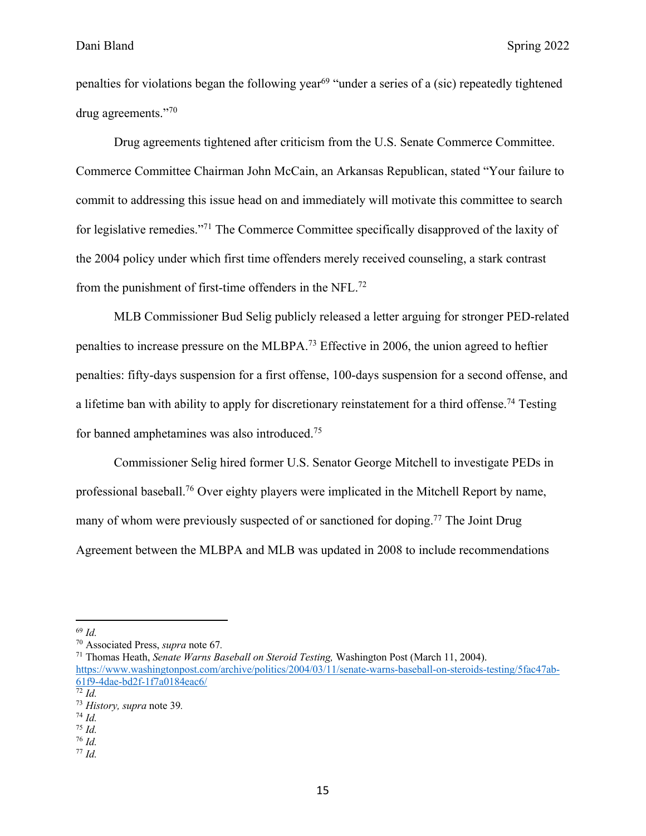penalties for violations began the following year<sup>69</sup> "under a series of a (sic) repeatedly tightened drug agreements."70

Drug agreements tightened after criticism from the U.S. Senate Commerce Committee. Commerce Committee Chairman John McCain, an Arkansas Republican, stated "Your failure to commit to addressing this issue head on and immediately will motivate this committee to search for legislative remedies."71 The Commerce Committee specifically disapproved of the laxity of the 2004 policy under which first time offenders merely received counseling, a stark contrast from the punishment of first-time offenders in the NFL.72

MLB Commissioner Bud Selig publicly released a letter arguing for stronger PED-related penalties to increase pressure on the MLBPA.73 Effective in 2006, the union agreed to heftier penalties: fifty-days suspension for a first offense, 100-days suspension for a second offense, and a lifetime ban with ability to apply for discretionary reinstatement for a third offense.<sup>74</sup> Testing for banned amphetamines was also introduced.75

Commissioner Selig hired former U.S. Senator George Mitchell to investigate PEDs in professional baseball.76 Over eighty players were implicated in the Mitchell Report by name, many of whom were previously suspected of or sanctioned for doping.<sup>77</sup> The Joint Drug Agreement between the MLBPA and MLB was updated in 2008 to include recommendations

<sup>71</sup> Thomas Heath, *Senate Warns Baseball on Steroid Testing,* Washington Post (March 11, 2004). https://www.washingtonpost.com/archive/politics/2004/03/11/senate-warns-baseball-on-steroids-testing/5fac47ab-61f9-4dae-bd2f-1f7a0184eac6/  $\overline{72}$  *Id.* 

<sup>77</sup> *Id.*

<sup>69</sup> *Id.*

<sup>70</sup> Associated Press, *supra* note 67*.*

<sup>73</sup> *History, supra* note 39*.*

<sup>74</sup> *Id.*

<sup>75</sup> *Id.*

<sup>76</sup> *Id.*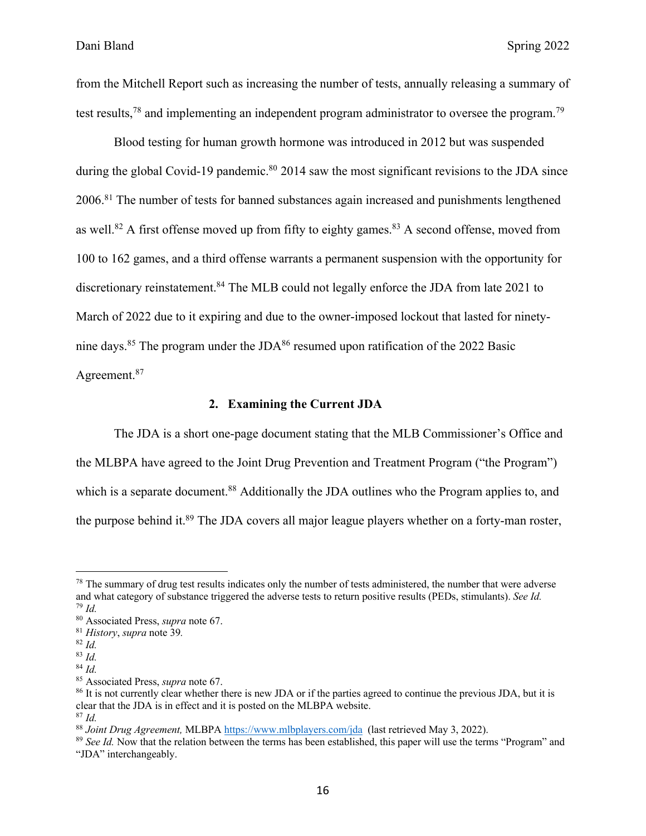from the Mitchell Report such as increasing the number of tests, annually releasing a summary of test results,<sup>78</sup> and implementing an independent program administrator to oversee the program.<sup>79</sup>

Blood testing for human growth hormone was introduced in 2012 but was suspended during the global Covid-19 pandemic.<sup>80</sup> 2014 saw the most significant revisions to the JDA since 2006.81 The number of tests for banned substances again increased and punishments lengthened as well.<sup>82</sup> A first offense moved up from fifty to eighty games.<sup>83</sup> A second offense, moved from 100 to 162 games, and a third offense warrants a permanent suspension with the opportunity for discretionary reinstatement.<sup>84</sup> The MLB could not legally enforce the JDA from late 2021 to March of 2022 due to it expiring and due to the owner-imposed lockout that lasted for ninetynine days.<sup>85</sup> The program under the JDA<sup>86</sup> resumed upon ratification of the 2022 Basic Agreement.87

#### **2. Examining the Current JDA**

The JDA is a short one-page document stating that the MLB Commissioner's Office and the MLBPA have agreed to the Joint Drug Prevention and Treatment Program ("the Program") which is a separate document.<sup>88</sup> Additionally the JDA outlines who the Program applies to, and the purpose behind it.<sup>89</sup> The JDA covers all major league players whether on a forty-man roster,

 $78$  The summary of drug test results indicates only the number of tests administered, the number that were adverse and what category of substance triggered the adverse tests to return positive results (PEDs, stimulants). *See Id.* <sup>79</sup> *Id.*

<sup>80</sup> Associated Press, *supra* note 67.

<sup>81</sup> *History*, *supra* note 39*.*

<sup>82</sup> *Id.*

<sup>83</sup> *Id.*

<sup>84</sup> *Id.*

<sup>85</sup> Associated Press, *supra* note 67.

<sup>86</sup> It is not currently clear whether there is new JDA or if the parties agreed to continue the previous JDA, but it is clear that the JDA is in effect and it is posted on the MLBPA website. <sup>87</sup> *Id.*

<sup>88</sup> *Joint Drug Agreement,* MLBPA https://www.mlbplayers.com/jda (last retrieved May 3, 2022).

<sup>89</sup> *See Id.* Now that the relation between the terms has been established, this paper will use the terms "Program" and "JDA" interchangeably.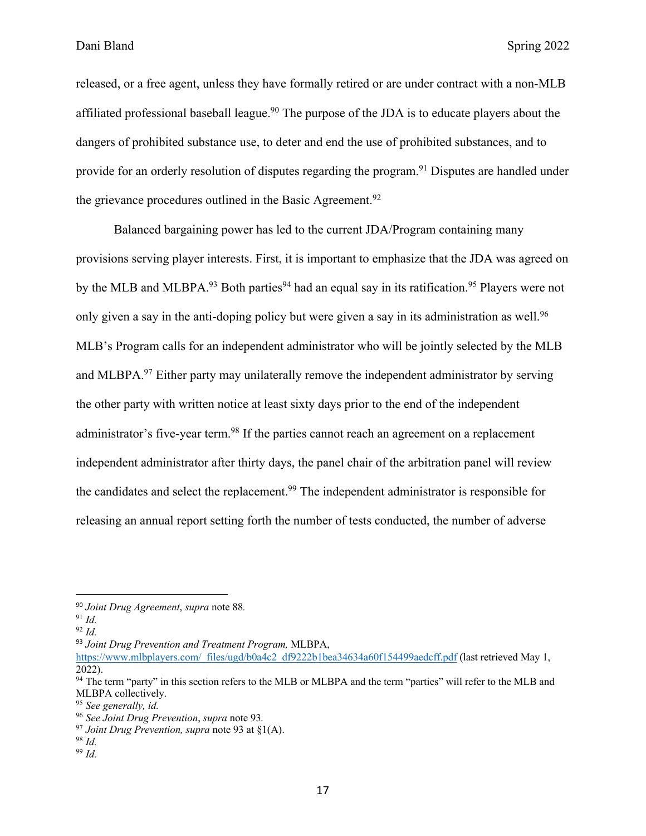released, or a free agent, unless they have formally retired or are under contract with a non-MLB affiliated professional baseball league.<sup>90</sup> The purpose of the JDA is to educate players about the dangers of prohibited substance use, to deter and end the use of prohibited substances, and to provide for an orderly resolution of disputes regarding the program.<sup>91</sup> Disputes are handled under the grievance procedures outlined in the Basic Agreement.<sup>92</sup>

Balanced bargaining power has led to the current JDA/Program containing many provisions serving player interests. First, it is important to emphasize that the JDA was agreed on by the MLB and MLBPA.<sup>93</sup> Both parties<sup>94</sup> had an equal say in its ratification.<sup>95</sup> Players were not only given a say in the anti-doping policy but were given a say in its administration as well.<sup>96</sup> MLB's Program calls for an independent administrator who will be jointly selected by the MLB and MLBPA.<sup>97</sup> Either party may unilaterally remove the independent administrator by serving the other party with written notice at least sixty days prior to the end of the independent administrator's five-year term.<sup>98</sup> If the parties cannot reach an agreement on a replacement independent administrator after thirty days, the panel chair of the arbitration panel will review the candidates and select the replacement.<sup>99</sup> The independent administrator is responsible for releasing an annual report setting forth the number of tests conducted, the number of adverse

<sup>90</sup> *Joint Drug Agreement*, *supra* note 88*.*

<sup>91</sup> *Id.*

<sup>92</sup> *Id.*

<sup>93</sup> *Joint Drug Prevention and Treatment Program,* MLBPA,

https://www.mlbplayers.com/\_files/ugd/b0a4c2\_df9222b1bea34634a60f154499aedcff.pdf (last retrieved May 1, 2022).

<sup>&</sup>lt;sup>94</sup> The term "party" in this section refers to the MLB or MLBPA and the term "parties" will refer to the MLB and MLBPA collectively.

<sup>95</sup> *See generally, id.*

<sup>96</sup> *See Joint Drug Prevention*, *supra* note 93*.*

<sup>97</sup> *Joint Drug Prevention, supra* note 93 at §1(A). 98 *Id.*

<sup>99</sup> *Id.*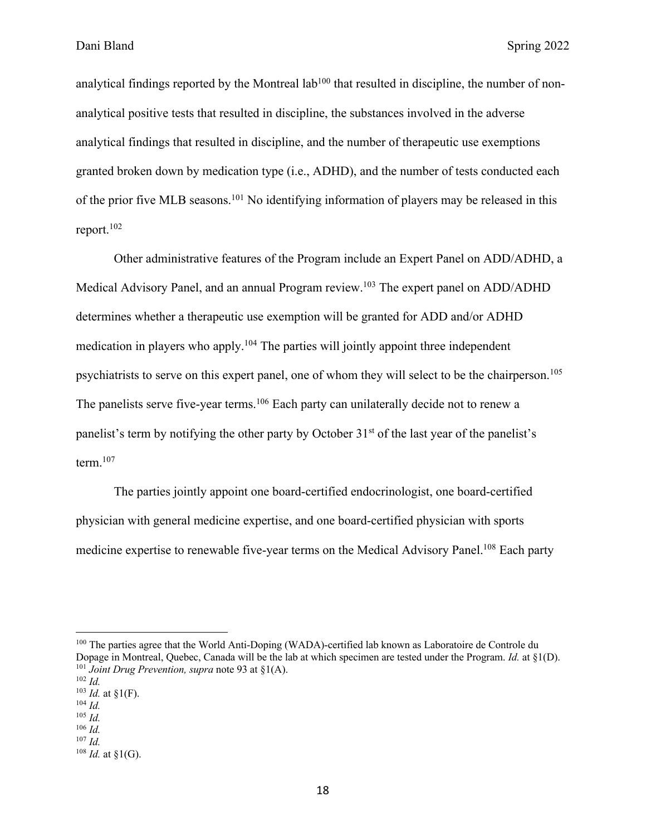analytical findings reported by the Montreal lab<sup>100</sup> that resulted in discipline, the number of nonanalytical positive tests that resulted in discipline, the substances involved in the adverse analytical findings that resulted in discipline, and the number of therapeutic use exemptions granted broken down by medication type (i.e., ADHD), and the number of tests conducted each of the prior five MLB seasons.101 No identifying information of players may be released in this report.102

Other administrative features of the Program include an Expert Panel on ADD/ADHD, a Medical Advisory Panel, and an annual Program review.<sup>103</sup> The expert panel on ADD/ADHD determines whether a therapeutic use exemption will be granted for ADD and/or ADHD medication in players who apply.104 The parties will jointly appoint three independent psychiatrists to serve on this expert panel, one of whom they will select to be the chairperson.105 The panelists serve five-year terms.<sup>106</sup> Each party can unilaterally decide not to renew a panelist's term by notifying the other party by October 31<sup>st</sup> of the last year of the panelist's term. $107$ 

The parties jointly appoint one board-certified endocrinologist, one board-certified physician with general medicine expertise, and one board-certified physician with sports medicine expertise to renewable five-year terms on the Medical Advisory Panel.<sup>108</sup> Each party

<sup>&</sup>lt;sup>100</sup> The parties agree that the World Anti-Doping (WADA)-certified lab known as Laboratoire de Controle du Dopage in Montreal, Quebec, Canada will be the lab at which specimen are tested under the Program. *Id.* at §1(D). <sup>101</sup> *Joint Drug Prevention, supra* note 93 at §1(A).

<sup>102</sup> *Id.*

 $103$  *Id.* at  $\S1(F)$ .

<sup>104</sup> *Id.* <sup>105</sup> *Id.*

<sup>106</sup> *Id.*

<sup>107</sup> *Id.*

<sup>108</sup> *Id.* at §1(G).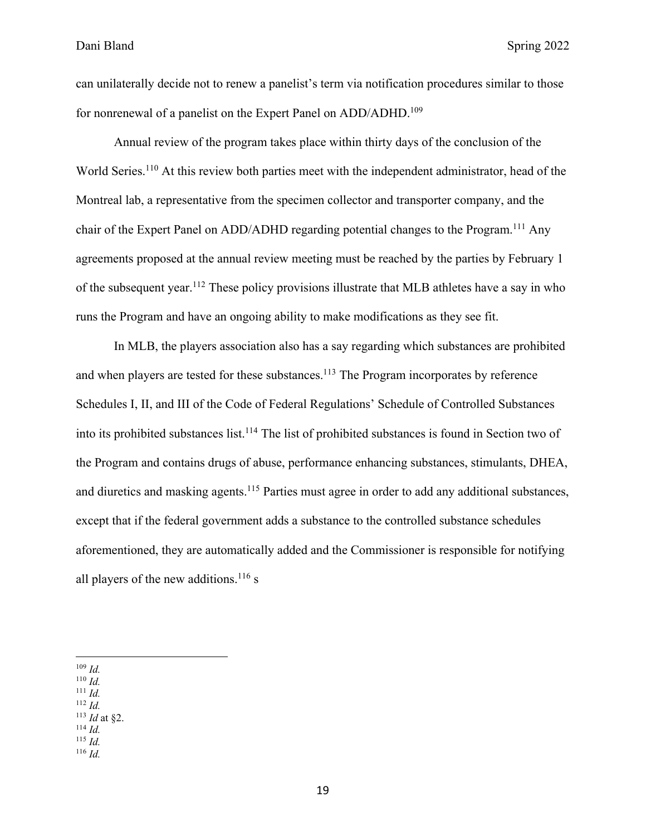can unilaterally decide not to renew a panelist's term via notification procedures similar to those for nonrenewal of a panelist on the Expert Panel on ADD/ADHD.<sup>109</sup>

Annual review of the program takes place within thirty days of the conclusion of the World Series.<sup>110</sup> At this review both parties meet with the independent administrator, head of the Montreal lab, a representative from the specimen collector and transporter company, and the chair of the Expert Panel on ADD/ADHD regarding potential changes to the Program.<sup>111</sup> Any agreements proposed at the annual review meeting must be reached by the parties by February 1 of the subsequent year.112 These policy provisions illustrate that MLB athletes have a say in who runs the Program and have an ongoing ability to make modifications as they see fit.

In MLB, the players association also has a say regarding which substances are prohibited and when players are tested for these substances.<sup>113</sup> The Program incorporates by reference Schedules I, II, and III of the Code of Federal Regulations' Schedule of Controlled Substances into its prohibited substances list.<sup>114</sup> The list of prohibited substances is found in Section two of the Program and contains drugs of abuse, performance enhancing substances, stimulants, DHEA, and diuretics and masking agents.<sup>115</sup> Parties must agree in order to add any additional substances, except that if the federal government adds a substance to the controlled substance schedules aforementioned, they are automatically added and the Commissioner is responsible for notifying all players of the new additions.<sup>116</sup> s

- <sup>111</sup> *Id.*
- <sup>112</sup> *Id.* <sup>113</sup> *Id* at §2.
- <sup>114</sup> *Id.*
- <sup>115</sup> *Id.*
- <sup>116</sup> *Id.*

<sup>109</sup> *Id.*

<sup>110</sup> *Id.*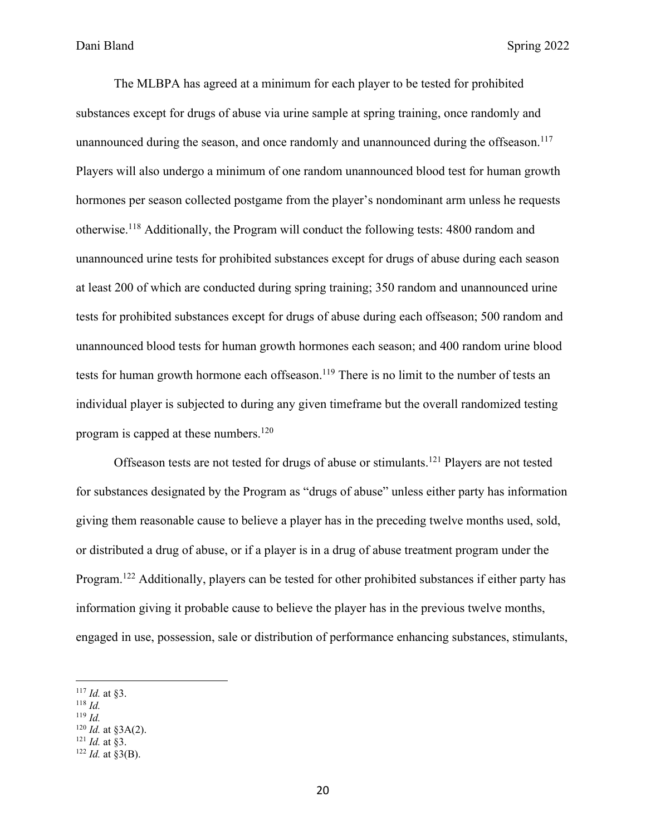The MLBPA has agreed at a minimum for each player to be tested for prohibited substances except for drugs of abuse via urine sample at spring training, once randomly and unannounced during the season, and once randomly and unannounced during the offseason.<sup>117</sup> Players will also undergo a minimum of one random unannounced blood test for human growth hormones per season collected postgame from the player's nondominant arm unless he requests otherwise. <sup>118</sup> Additionally, the Program will conduct the following tests: 4800 random and unannounced urine tests for prohibited substances except for drugs of abuse during each season at least 200 of which are conducted during spring training; 350 random and unannounced urine tests for prohibited substances except for drugs of abuse during each offseason; 500 random and unannounced blood tests for human growth hormones each season; and 400 random urine blood tests for human growth hormone each offseason.<sup>119</sup> There is no limit to the number of tests an individual player is subjected to during any given timeframe but the overall randomized testing program is capped at these numbers. 120

Offseason tests are not tested for drugs of abuse or stimulants.121 Players are not tested for substances designated by the Program as "drugs of abuse" unless either party has information giving them reasonable cause to believe a player has in the preceding twelve months used, sold, or distributed a drug of abuse, or if a player is in a drug of abuse treatment program under the Program.<sup>122</sup> Additionally, players can be tested for other prohibited substances if either party has information giving it probable cause to believe the player has in the previous twelve months, engaged in use, possession, sale or distribution of performance enhancing substances, stimulants,

- <sup>118</sup> *Id.*
- <sup>119</sup> *Id.*
- <sup>120</sup> *Id.* at §3A(2). <sup>121</sup> *Id.* at §3.
- $122$  *Id.* at §3(B).

<sup>117</sup> *Id.* at §3.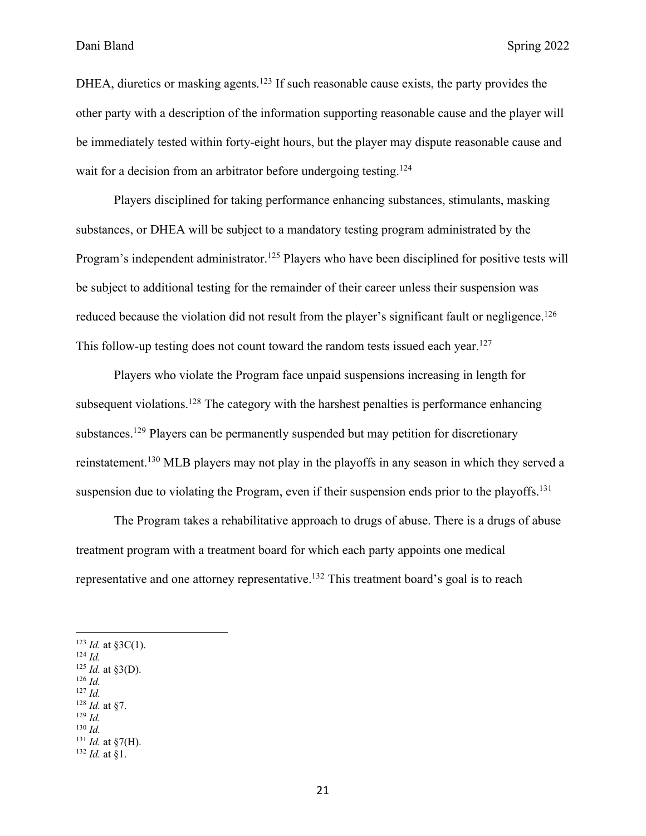DHEA, diuretics or masking agents.<sup>123</sup> If such reasonable cause exists, the party provides the other party with a description of the information supporting reasonable cause and the player will be immediately tested within forty-eight hours, but the player may dispute reasonable cause and wait for a decision from an arbitrator before undergoing testing.<sup>124</sup>

Players disciplined for taking performance enhancing substances, stimulants, masking substances, or DHEA will be subject to a mandatory testing program administrated by the Program's independent administrator.<sup>125</sup> Players who have been disciplined for positive tests will be subject to additional testing for the remainder of their career unless their suspension was reduced because the violation did not result from the player's significant fault or negligence.<sup>126</sup> This follow-up testing does not count toward the random tests issued each year.<sup>127</sup>

Players who violate the Program face unpaid suspensions increasing in length for subsequent violations.<sup>128</sup> The category with the harshest penalties is performance enhancing substances.<sup>129</sup> Players can be permanently suspended but may petition for discretionary reinstatement.130 MLB players may not play in the playoffs in any season in which they served a suspension due to violating the Program, even if their suspension ends prior to the playoffs.<sup>131</sup>

The Program takes a rehabilitative approach to drugs of abuse. There is a drugs of abuse treatment program with a treatment board for which each party appoints one medical representative and one attorney representative.<sup>132</sup> This treatment board's goal is to reach

 $123$  *Id.* at §3C(1).

<sup>124</sup> *Id.*

 $125$  *Id.* at §3(D). <sup>126</sup> *Id.*

- <sup>127</sup> *Id.*
- <sup>128</sup> *Id.* at §7.
- <sup>129</sup> *Id.*
- <sup>130</sup> *Id.*
- $131$  *Id.* at §7(H).

<sup>132</sup> *Id.* at §1.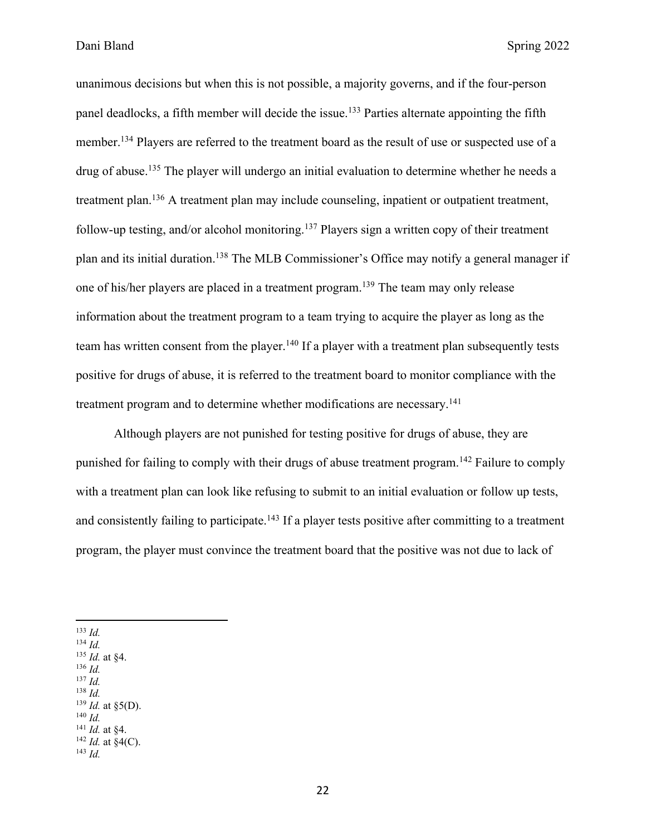unanimous decisions but when this is not possible, a majority governs, and if the four-person panel deadlocks, a fifth member will decide the issue.<sup>133</sup> Parties alternate appointing the fifth member.<sup>134</sup> Players are referred to the treatment board as the result of use or suspected use of a drug of abuse.<sup>135</sup> The player will undergo an initial evaluation to determine whether he needs a treatment plan.136 A treatment plan may include counseling, inpatient or outpatient treatment, follow-up testing, and/or alcohol monitoring.<sup>137</sup> Players sign a written copy of their treatment plan and its initial duration.138 The MLB Commissioner's Office may notify a general manager if one of his/her players are placed in a treatment program.139 The team may only release information about the treatment program to a team trying to acquire the player as long as the team has written consent from the player.<sup>140</sup> If a player with a treatment plan subsequently tests positive for drugs of abuse, it is referred to the treatment board to monitor compliance with the treatment program and to determine whether modifications are necessary.<sup>141</sup>

Although players are not punished for testing positive for drugs of abuse, they are punished for failing to comply with their drugs of abuse treatment program.<sup>142</sup> Failure to comply with a treatment plan can look like refusing to submit to an initial evaluation or follow up tests, and consistently failing to participate.<sup>143</sup> If a player tests positive after committing to a treatment program, the player must convince the treatment board that the positive was not due to lack of

- <sup>134</sup> *Id.*
- <sup>135</sup> *Id.* at §4.
- <sup>136</sup> *Id.* <sup>137</sup> *Id.*
- <sup>138</sup> *Id.*
- $139$  *Id.* at §5(D).
- <sup>140</sup> *Id.*

 $^{142}$  *Id.* at §4(C). <sup>143</sup> *Id.*

<sup>133</sup> *Id.*

<sup>141</sup> *Id.* at §4.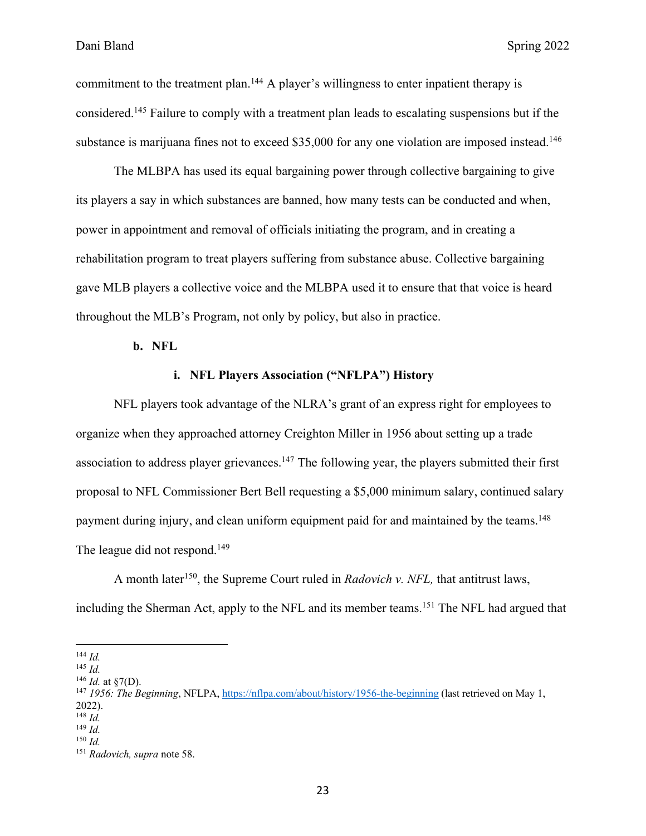commitment to the treatment plan.<sup>144</sup> A player's willingness to enter inpatient therapy is considered.145 Failure to comply with a treatment plan leads to escalating suspensions but if the substance is marijuana fines not to exceed \$35,000 for any one violation are imposed instead.<sup>146</sup>

The MLBPA has used its equal bargaining power through collective bargaining to give its players a say in which substances are banned, how many tests can be conducted and when, power in appointment and removal of officials initiating the program, and in creating a rehabilitation program to treat players suffering from substance abuse. Collective bargaining gave MLB players a collective voice and the MLBPA used it to ensure that that voice is heard throughout the MLB's Program, not only by policy, but also in practice.

**b. NFL**

#### **i. NFL Players Association ("NFLPA") History**

NFL players took advantage of the NLRA's grant of an express right for employees to organize when they approached attorney Creighton Miller in 1956 about setting up a trade association to address player grievances.<sup>147</sup> The following year, the players submitted their first proposal to NFL Commissioner Bert Bell requesting a \$5,000 minimum salary, continued salary payment during injury, and clean uniform equipment paid for and maintained by the teams.<sup>148</sup> The league did not respond.<sup>149</sup>

A month later<sup>150</sup>, the Supreme Court ruled in *Radovich v. NFL*, that antitrust laws, including the Sherman Act, apply to the NFL and its member teams.<sup>151</sup> The NFL had argued that

<sup>144</sup> *Id.*

<sup>145</sup> *Id.*

 $^{146}$  *Id.* at  $\sqrt[8]{(D)}$ .

<sup>147</sup> *1956: The Beginning*, NFLPA, https://nflpa.com/about/history/1956-the-beginning (last retrieved on May 1, 2022).

<sup>148</sup> *Id.*

<sup>149</sup> *Id.* <sup>150</sup> *Id.*

<sup>151</sup> *Radovich, supra* note 58.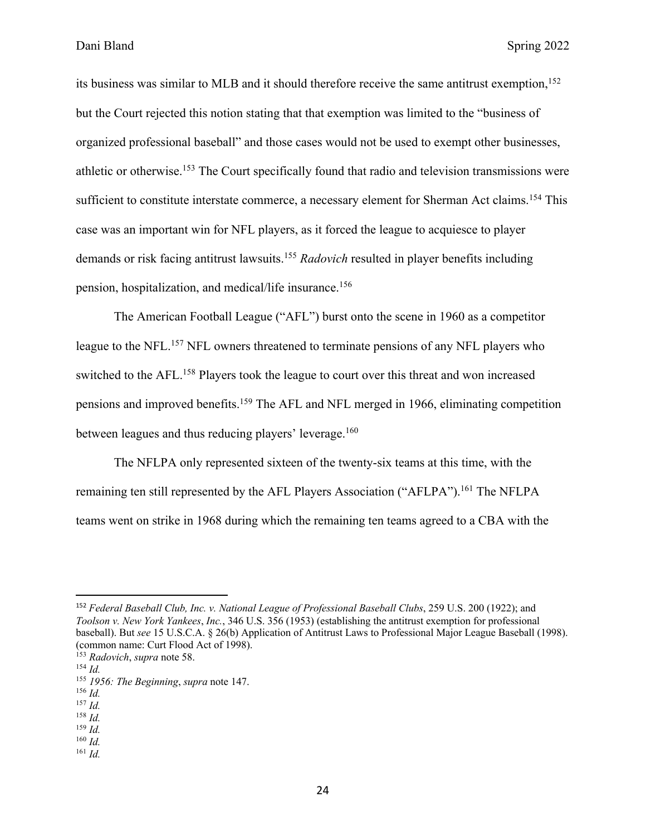its business was similar to MLB and it should therefore receive the same antitrust exemption, 152 but the Court rejected this notion stating that that exemption was limited to the "business of organized professional baseball" and those cases would not be used to exempt other businesses, athletic or otherwise.<sup>153</sup> The Court specifically found that radio and television transmissions were sufficient to constitute interstate commerce, a necessary element for Sherman Act claims.<sup>154</sup> This case was an important win for NFL players, as it forced the league to acquiesce to player demands or risk facing antitrust lawsuits.155 *Radovich* resulted in player benefits including pension, hospitalization, and medical/life insurance.156

The American Football League ("AFL") burst onto the scene in 1960 as a competitor league to the NFL.157 NFL owners threatened to terminate pensions of any NFL players who switched to the AFL.<sup>158</sup> Players took the league to court over this threat and won increased pensions and improved benefits.159 The AFL and NFL merged in 1966, eliminating competition between leagues and thus reducing players' leverage.<sup>160</sup>

The NFLPA only represented sixteen of the twenty-six teams at this time, with the remaining ten still represented by the AFL Players Association ("AFLPA").<sup>161</sup> The NFLPA teams went on strike in 1968 during which the remaining ten teams agreed to a CBA with the

<sup>159</sup> *Id.*

<sup>161</sup> *Id.*

<sup>152</sup> *Federal Baseball Club, Inc. v. National League of Professional Baseball Clubs*, 259 U.S. 200 (1922); and *Toolson v. New York Yankees*, *Inc.*, 346 U.S. 356 (1953) (establishing the antitrust exemption for professional baseball). But *see* 15 U.S.C.A. § 26(b) Application of Antitrust Laws to Professional Major League Baseball (1998). (common name: Curt Flood Act of 1998).

<sup>153</sup> *Radovich*, *supra* note 58.

<sup>154</sup> *Id.*

<sup>155</sup> *1956: The Beginning*, *supra* note 147.

<sup>156</sup> *Id.*

<sup>157</sup> *Id.* <sup>158</sup> *Id.*

<sup>160</sup> *Id.*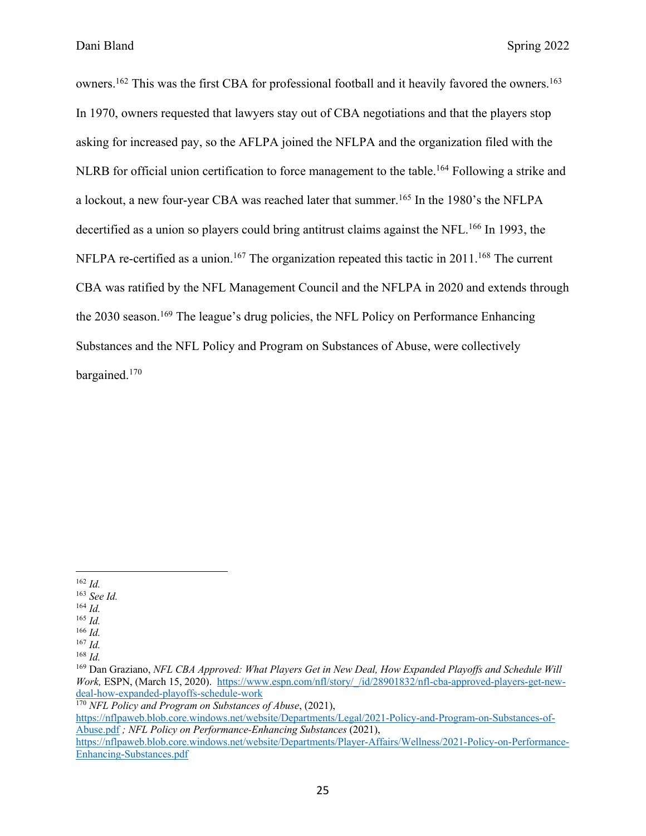owners.<sup>162</sup> This was the first CBA for professional football and it heavily favored the owners.<sup>163</sup> In 1970, owners requested that lawyers stay out of CBA negotiations and that the players stop asking for increased pay, so the AFLPA joined the NFLPA and the organization filed with the NLRB for official union certification to force management to the table.<sup>164</sup> Following a strike and a lockout, a new four-year CBA was reached later that summer.165 In the 1980's the NFLPA decertified as a union so players could bring antitrust claims against the NFL.<sup>166</sup> In 1993, the NFLPA re-certified as a union.<sup>167</sup> The organization repeated this tactic in 2011.<sup>168</sup> The current CBA was ratified by the NFL Management Council and the NFLPA in 2020 and extends through the 2030 season.<sup>169</sup> The league's drug policies, the NFL Policy on Performance Enhancing Substances and the NFL Policy and Program on Substances of Abuse, were collectively bargained.170

- <sup>162</sup> *Id.*
- <sup>163</sup> *See Id.*
- <sup>164</sup> *Id.*
- <sup>165</sup> *Id.*
- <sup>166</sup> *Id.*
- <sup>167</sup> *Id.* <sup>168</sup> *Id.*

<sup>170</sup> *NFL Policy and Program on Substances of Abuse*, (2021),

https://nflpaweb.blob.core.windows.net/website/Departments/Legal/2021-Policy-and-Program-on-Substances-of-Abuse.pdf *; NFL Policy on Performance-Enhancing Substances* (2021),

<sup>169</sup> Dan Graziano, *NFL CBA Approved: What Players Get in New Deal, How Expanded Playoffs and Schedule Will Work,* ESPN, (March 15, 2020). https://www.espn.com/nfl/story/\_/id/28901832/nfl-cba-approved-players-get-newdeal-how-expanded-playoffs-schedule-work

https://nflpaweb.blob.core.windows.net/website/Departments/Player-Affairs/Wellness/2021-Policy-on-Performance-Enhancing-Substances.pdf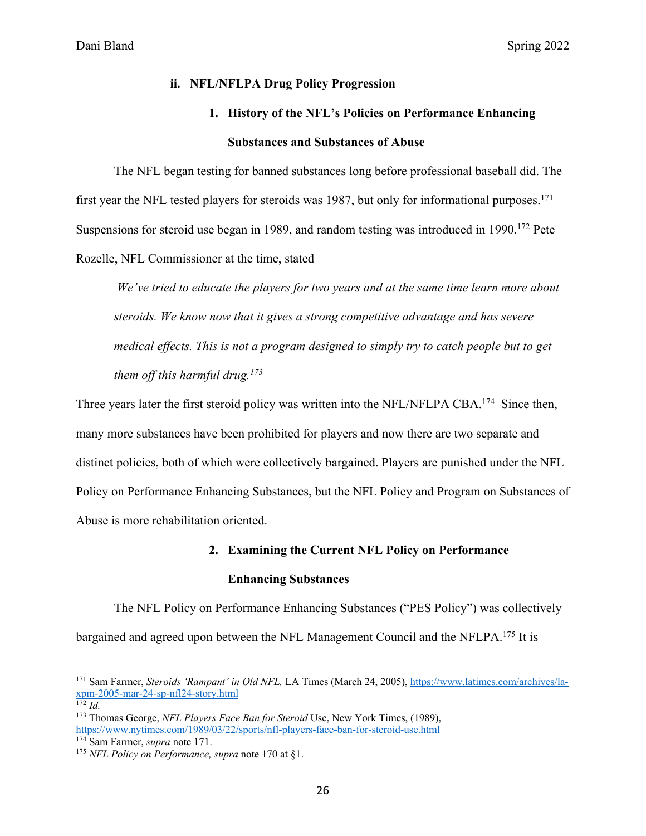#### **ii. NFL/NFLPA Drug Policy Progression**

# **1. History of the NFL's Policies on Performance Enhancing Substances and Substances of Abuse**

The NFL began testing for banned substances long before professional baseball did. The first year the NFL tested players for steroids was 1987, but only for informational purposes.<sup>171</sup> Suspensions for steroid use began in 1989, and random testing was introduced in 1990.<sup>172</sup> Pete Rozelle, NFL Commissioner at the time, stated

*We've tried to educate the players for two years and at the same time learn more about steroids. We know now that it gives a strong competitive advantage and has severe medical effects. This is not a program designed to simply try to catch people but to get them off this harmful drug.173*

Three years later the first steroid policy was written into the NFL/NFLPA CBA.<sup>174</sup> Since then, many more substances have been prohibited for players and now there are two separate and distinct policies, both of which were collectively bargained. Players are punished under the NFL Policy on Performance Enhancing Substances, but the NFL Policy and Program on Substances of Abuse is more rehabilitation oriented.

#### **2. Examining the Current NFL Policy on Performance**

#### **Enhancing Substances**

The NFL Policy on Performance Enhancing Substances ("PES Policy") was collectively bargained and agreed upon between the NFL Management Council and the NFLPA.175 It is

<sup>171</sup> Sam Farmer, *Steroids 'Rampant' in Old NFL,* LA Times (March 24, 2005), https://www.latimes.com/archives/laxpm-2005-mar-24-sp-nfl24-story.html

 $172$  *Id.* 

<sup>173</sup> Thomas George, *NFL Players Face Ban for Steroid* Use, New York Times, (1989), https://www.nytimes.com/1989/03/22/sports/nfl-players-face-ban-for-steroid-use.html

<sup>174</sup> Sam Farmer, *supra* note 171.

<sup>175</sup> *NFL Policy on Performance, supra* note 170 at §1.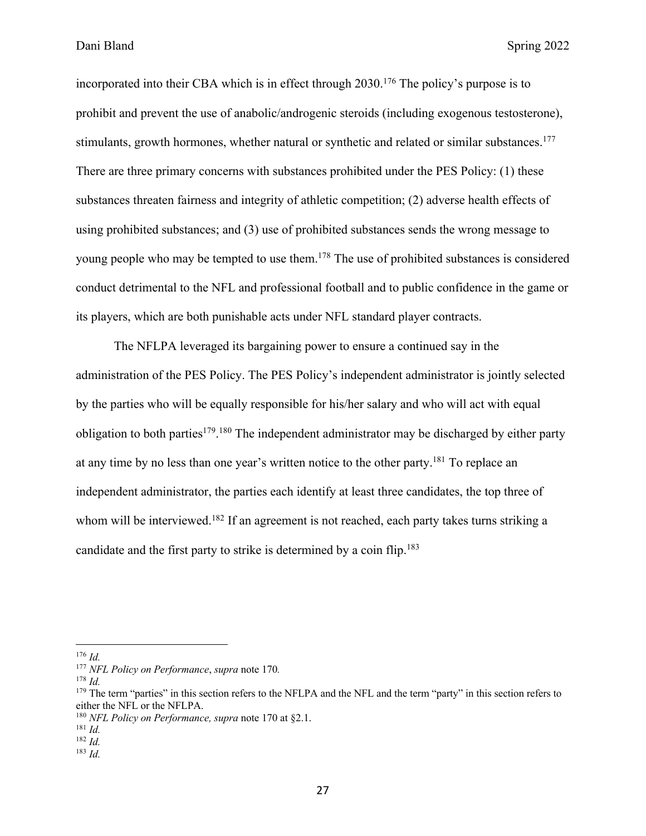incorporated into their CBA which is in effect through 2030.<sup>176</sup> The policy's purpose is to prohibit and prevent the use of anabolic/androgenic steroids (including exogenous testosterone), stimulants, growth hormones, whether natural or synthetic and related or similar substances.<sup>177</sup> There are three primary concerns with substances prohibited under the PES Policy: (1) these substances threaten fairness and integrity of athletic competition; (2) adverse health effects of using prohibited substances; and (3) use of prohibited substances sends the wrong message to young people who may be tempted to use them.<sup>178</sup> The use of prohibited substances is considered conduct detrimental to the NFL and professional football and to public confidence in the game or its players, which are both punishable acts under NFL standard player contracts.

The NFLPA leveraged its bargaining power to ensure a continued say in the administration of the PES Policy. The PES Policy's independent administrator is jointly selected by the parties who will be equally responsible for his/her salary and who will act with equal obligation to both parties<sup>179</sup>.<sup>180</sup> The independent administrator may be discharged by either party at any time by no less than one year's written notice to the other party.181 To replace an independent administrator, the parties each identify at least three candidates, the top three of whom will be interviewed.<sup>182</sup> If an agreement is not reached, each party takes turns striking a candidate and the first party to strike is determined by a coin flip.183

<sup>176</sup> *Id.*

<sup>177</sup> *NFL Policy on Performance*, *supra* note 170*.*

<sup>178</sup> *Id.*

 $179$  The term "parties" in this section refers to the NFLPA and the NFL and the term "party" in this section refers to either the NFL or the NFLPA.

<sup>180</sup> *NFL Policy on Performance, supra* note 170 at §2.1.

<sup>181</sup> *Id.*

<sup>182</sup> *Id.*

<sup>183</sup> *Id.*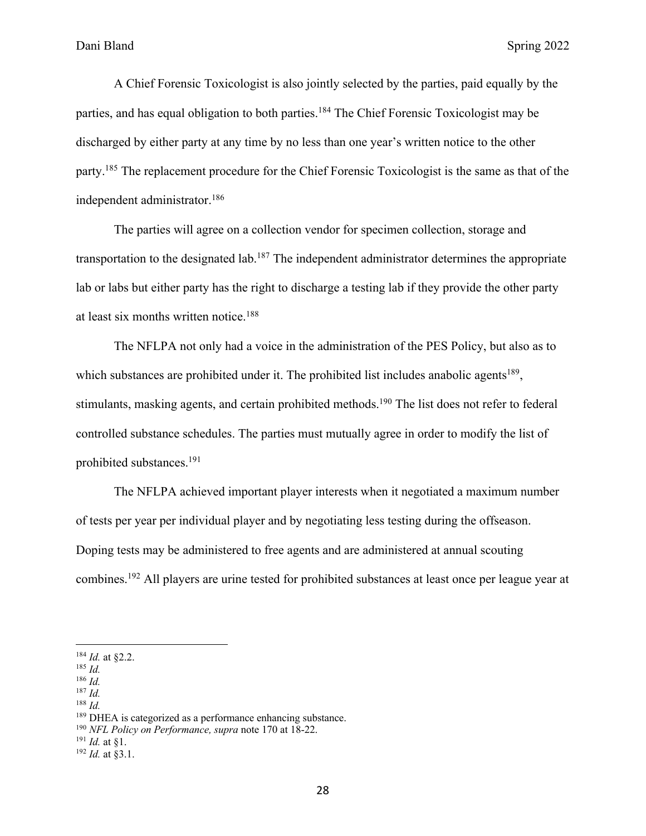A Chief Forensic Toxicologist is also jointly selected by the parties, paid equally by the parties, and has equal obligation to both parties.<sup>184</sup> The Chief Forensic Toxicologist may be discharged by either party at any time by no less than one year's written notice to the other party.185 The replacement procedure for the Chief Forensic Toxicologist is the same as that of the independent administrator.186

The parties will agree on a collection vendor for specimen collection, storage and transportation to the designated lab.187 The independent administrator determines the appropriate lab or labs but either party has the right to discharge a testing lab if they provide the other party at least six months written notice.188

The NFLPA not only had a voice in the administration of the PES Policy, but also as to which substances are prohibited under it. The prohibited list includes anabolic agents<sup>189</sup>, stimulants, masking agents, and certain prohibited methods.<sup>190</sup> The list does not refer to federal controlled substance schedules. The parties must mutually agree in order to modify the list of prohibited substances.191

The NFLPA achieved important player interests when it negotiated a maximum number of tests per year per individual player and by negotiating less testing during the offseason. Doping tests may be administered to free agents and are administered at annual scouting combines.192 All players are urine tested for prohibited substances at least once per league year at

<sup>186</sup> *Id.*

<sup>187</sup> *Id.*

<sup>188</sup> *Id.*

<sup>191</sup> *Id.* at §1.

<sup>184</sup> *Id.* at §2.2.

<sup>185</sup> *Id.*

<sup>&</sup>lt;sup>189</sup> DHEA is categorized as a performance enhancing substance.

<sup>190</sup> *NFL Policy on Performance, supra* note 170 at 18-22.

<sup>192</sup> *Id.* at §3.1.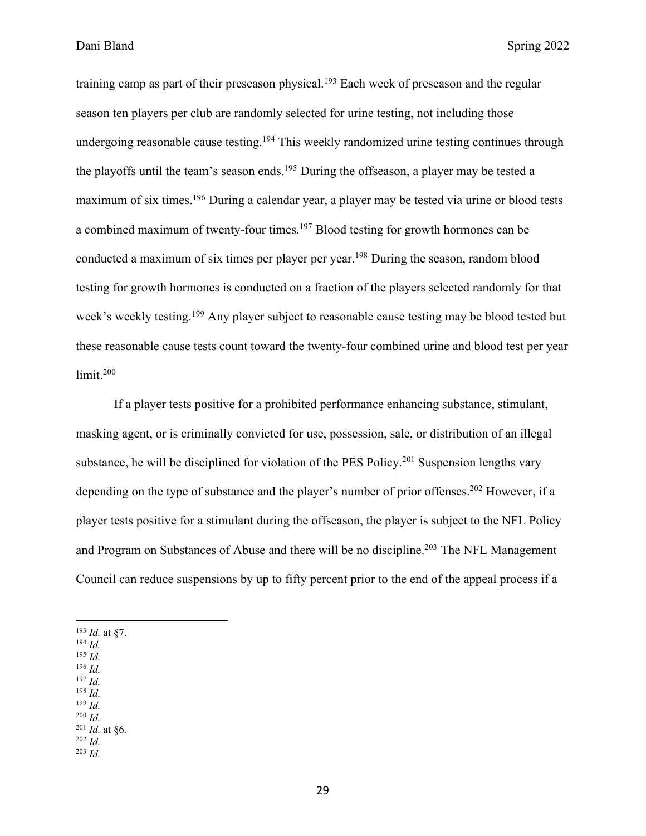training camp as part of their preseason physical.<sup>193</sup> Each week of preseason and the regular season ten players per club are randomly selected for urine testing, not including those undergoing reasonable cause testing.<sup>194</sup> This weekly randomized urine testing continues through the playoffs until the team's season ends.<sup>195</sup> During the offseason, a player may be tested a maximum of six times.196 During a calendar year, a player may be tested via urine or blood tests a combined maximum of twenty-four times.<sup>197</sup> Blood testing for growth hormones can be conducted a maximum of six times per player per year.<sup>198</sup> During the season, random blood testing for growth hormones is conducted on a fraction of the players selected randomly for that week's weekly testing.<sup>199</sup> Any player subject to reasonable cause testing may be blood tested but these reasonable cause tests count toward the twenty-four combined urine and blood test per year limit. 200

If a player tests positive for a prohibited performance enhancing substance, stimulant, masking agent, or is criminally convicted for use, possession, sale, or distribution of an illegal substance, he will be disciplined for violation of the PES Policy.<sup>201</sup> Suspension lengths vary depending on the type of substance and the player's number of prior offenses.<sup>202</sup> However, if a player tests positive for a stimulant during the offseason, the player is subject to the NFL Policy and Program on Substances of Abuse and there will be no discipline.203 The NFL Management Council can reduce suspensions by up to fifty percent prior to the end of the appeal process if a

<sup>193</sup> *Id.* at §7.

- <sup>194</sup> *Id.*
- <sup>195</sup> *Id.*
- <sup>196</sup> *Id.* <sup>197</sup> *Id.*
- <sup>198</sup> *Id.*
- <sup>199</sup> *Id.*
- <sup>200</sup> *Id.*
- <sup>201</sup> *Id.* at §6.
- <sup>202</sup> *Id.* <sup>203</sup> *Id.*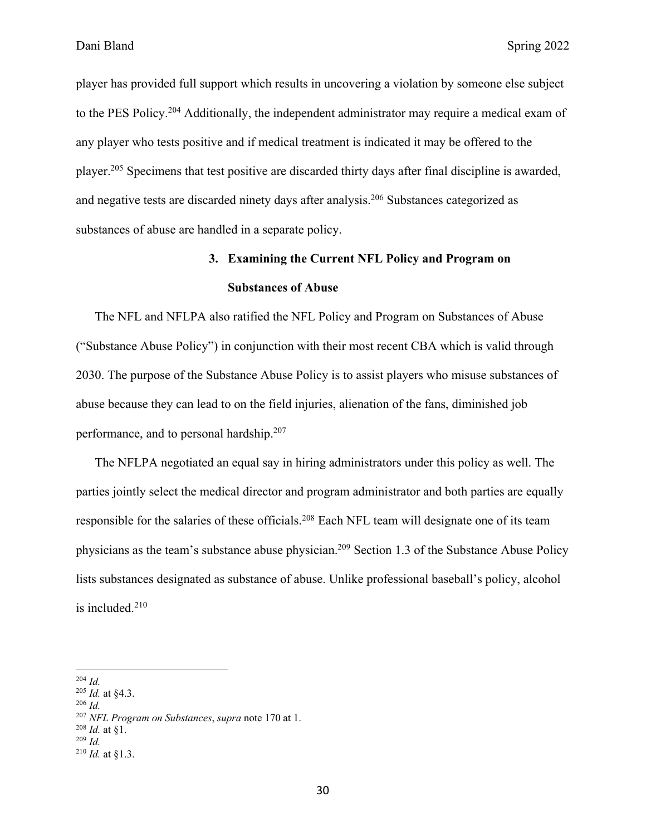player has provided full support which results in uncovering a violation by someone else subject to the PES Policy.204 Additionally, the independent administrator may require a medical exam of any player who tests positive and if medical treatment is indicated it may be offered to the player.205 Specimens that test positive are discarded thirty days after final discipline is awarded, and negative tests are discarded ninety days after analysis.206 Substances categorized as substances of abuse are handled in a separate policy.

## **3. Examining the Current NFL Policy and Program on Substances of Abuse**

The NFL and NFLPA also ratified the NFL Policy and Program on Substances of Abuse ("Substance Abuse Policy") in conjunction with their most recent CBA which is valid through 2030. The purpose of the Substance Abuse Policy is to assist players who misuse substances of abuse because they can lead to on the field injuries, alienation of the fans, diminished job performance, and to personal hardship.207

The NFLPA negotiated an equal say in hiring administrators under this policy as well. The parties jointly select the medical director and program administrator and both parties are equally responsible for the salaries of these officials.208 Each NFL team will designate one of its team physicians as the team's substance abuse physician.209 Section 1.3 of the Substance Abuse Policy lists substances designated as substance of abuse. Unlike professional baseball's policy, alcohol is included.210

<sup>204</sup> *Id.*

<sup>205</sup> *Id.* at §4.3.

<sup>206</sup> *Id.*

<sup>207</sup> *NFL Program on Substances*, *supra* note 170 at 1.

 $^{208}$  *Id.* at 81.

<sup>209</sup> *Id.*

<sup>210</sup> *Id.* at §1.3.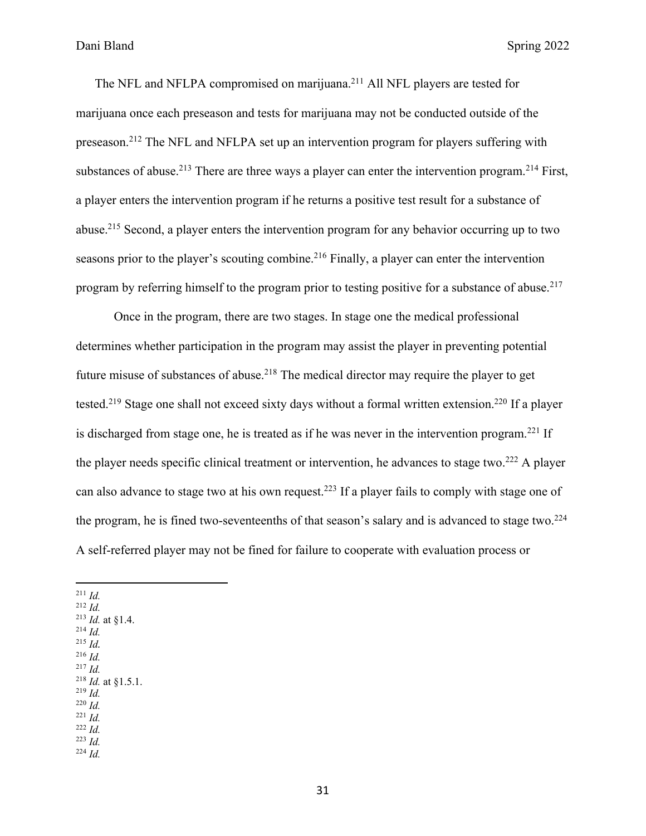The NFL and NFLPA compromised on marijuana.<sup>211</sup> All NFL players are tested for marijuana once each preseason and tests for marijuana may not be conducted outside of the preseason.212 The NFL and NFLPA set up an intervention program for players suffering with substances of abuse.<sup>213</sup> There are three ways a player can enter the intervention program.<sup>214</sup> First, a player enters the intervention program if he returns a positive test result for a substance of abuse.215 Second, a player enters the intervention program for any behavior occurring up to two seasons prior to the player's scouting combine.<sup>216</sup> Finally, a player can enter the intervention program by referring himself to the program prior to testing positive for a substance of abuse.<sup>217</sup>

Once in the program, there are two stages. In stage one the medical professional determines whether participation in the program may assist the player in preventing potential future misuse of substances of abuse.<sup>218</sup> The medical director may require the player to get tested.<sup>219</sup> Stage one shall not exceed sixty days without a formal written extension.<sup>220</sup> If a player is discharged from stage one, he is treated as if he was never in the intervention program.<sup>221</sup> If the player needs specific clinical treatment or intervention, he advances to stage two.<sup>222</sup> A player can also advance to stage two at his own request.<sup>223</sup> If a player fails to comply with stage one of the program, he is fined two-seventeenths of that season's salary and is advanced to stage two.<sup>224</sup> A self-referred player may not be fined for failure to cooperate with evaluation process or

<sup>211</sup> *Id.* <sup>212</sup> *Id.* <sup>213</sup> *Id.* at §1.4. <sup>214</sup> *Id.* <sup>215</sup> *Id.* <sup>216</sup> *Id.* <sup>217</sup> *Id.* <sup>218</sup> *Id.* at §1.5.1. <sup>219</sup> *Id.* <sup>220</sup> *Id.* <sup>221</sup> *Id.* <sup>222</sup> *Id.* <sup>223</sup> *Id.* <sup>224</sup> *Id.*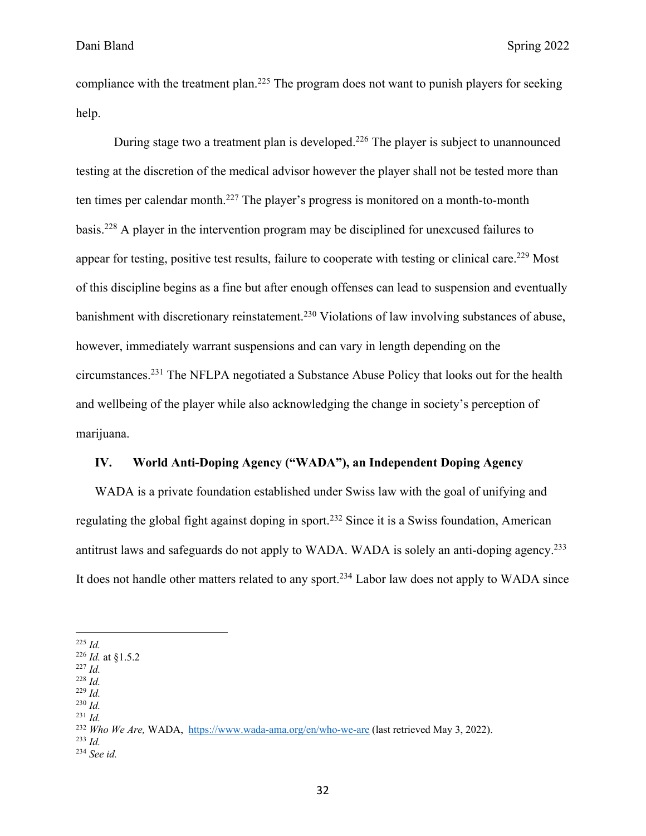compliance with the treatment plan.<sup>225</sup> The program does not want to punish players for seeking help.

During stage two a treatment plan is developed.<sup>226</sup> The player is subject to unannounced testing at the discretion of the medical advisor however the player shall not be tested more than ten times per calendar month.227 The player's progress is monitored on a month-to-month basis.228 A player in the intervention program may be disciplined for unexcused failures to appear for testing, positive test results, failure to cooperate with testing or clinical care.<sup>229</sup> Most of this discipline begins as a fine but after enough offenses can lead to suspension and eventually banishment with discretionary reinstatement.<sup>230</sup> Violations of law involving substances of abuse, however, immediately warrant suspensions and can vary in length depending on the circumstances.231 The NFLPA negotiated a Substance Abuse Policy that looks out for the health and wellbeing of the player while also acknowledging the change in society's perception of marijuana.

#### **IV. World Anti-Doping Agency ("WADA"), an Independent Doping Agency**

WADA is a private foundation established under Swiss law with the goal of unifying and regulating the global fight against doping in sport.232 Since it is a Swiss foundation, American antitrust laws and safeguards do not apply to WADA. WADA is solely an anti-doping agency.<sup>233</sup> It does not handle other matters related to any sport.234 Labor law does not apply to WADA since

- <sup>229</sup> *Id.*
- <sup>230</sup> *Id.*

<sup>225</sup> *Id.*

<sup>226</sup> *Id.* at §1.5.2

<sup>227</sup> *Id.* <sup>228</sup> *Id.*

<sup>231</sup> *Id.*

<sup>232</sup> *Who We Are,* WADA, https://www.wada-ama.org/en/who-we-are (last retrieved May 3, 2022).

<sup>233</sup> *Id.*

<sup>234</sup> *See id.*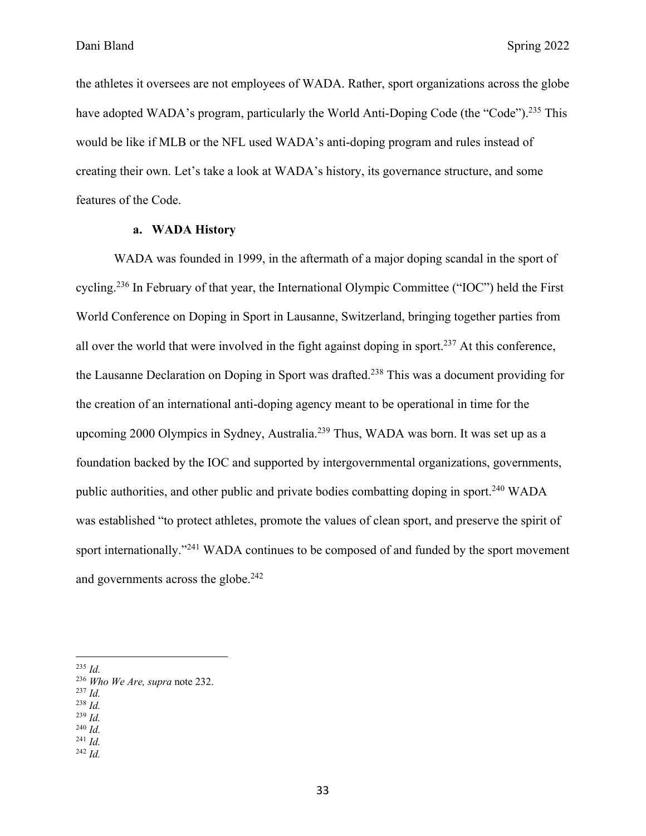the athletes it oversees are not employees of WADA. Rather, sport organizations across the globe have adopted WADA's program, particularly the World Anti-Doping Code (the "Code").<sup>235</sup> This would be like if MLB or the NFL used WADA's anti-doping program and rules instead of creating their own. Let's take a look at WADA's history, its governance structure, and some features of the Code.

#### **a. WADA History**

WADA was founded in 1999, in the aftermath of a major doping scandal in the sport of cycling.236 In February of that year, the International Olympic Committee ("IOC") held the First World Conference on Doping in Sport in Lausanne, Switzerland, bringing together parties from all over the world that were involved in the fight against doping in sport.237 At this conference, the Lausanne Declaration on Doping in Sport was drafted.<sup>238</sup> This was a document providing for the creation of an international anti-doping agency meant to be operational in time for the upcoming 2000 Olympics in Sydney, Australia.239 Thus, WADA was born. It was set up as a foundation backed by the IOC and supported by intergovernmental organizations, governments, public authorities, and other public and private bodies combatting doping in sport.240 WADA was established "to protect athletes, promote the values of clean sport, and preserve the spirit of sport internationally."<sup>241</sup> WADA continues to be composed of and funded by the sport movement and governments across the globe.<sup>242</sup>

<sup>242</sup> *Id.*

<sup>235</sup> *Id.*

<sup>236</sup> *Who We Are, supra* note 232.

<sup>237</sup> *Id.*

<sup>238</sup> *Id.*

<sup>239</sup> *Id.* <sup>240</sup> *Id.*

<sup>241</sup> *Id.*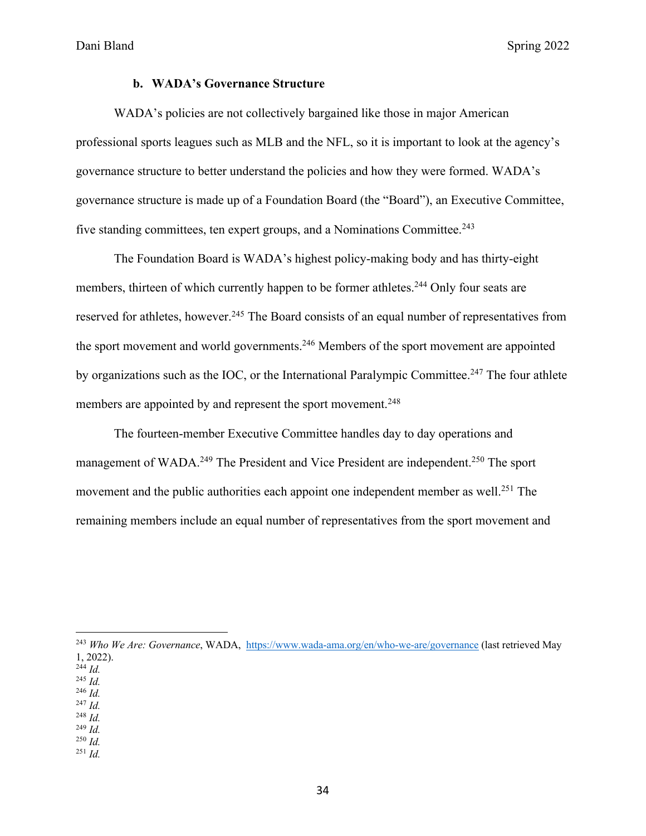#### **b. WADA's Governance Structure**

WADA's policies are not collectively bargained like those in major American professional sports leagues such as MLB and the NFL, so it is important to look at the agency's governance structure to better understand the policies and how they were formed. WADA's governance structure is made up of a Foundation Board (the "Board"), an Executive Committee, five standing committees, ten expert groups, and a Nominations Committee.<sup>243</sup>

The Foundation Board is WADA's highest policy-making body and has thirty-eight members, thirteen of which currently happen to be former athletes.<sup>244</sup> Only four seats are reserved for athletes, however.<sup>245</sup> The Board consists of an equal number of representatives from the sport movement and world governments.<sup>246</sup> Members of the sport movement are appointed by organizations such as the IOC, or the International Paralympic Committee.<sup>247</sup> The four athlete members are appointed by and represent the sport movement.<sup>248</sup>

The fourteen-member Executive Committee handles day to day operations and management of WADA.<sup>249</sup> The President and Vice President are independent.<sup>250</sup> The sport movement and the public authorities each appoint one independent member as well.<sup>251</sup> The remaining members include an equal number of representatives from the sport movement and

- <sup>246</sup> *Id.* <sup>247</sup> *Id.*
- <sup>248</sup> *Id.*
- <sup>249</sup> *Id.*
- <sup>250</sup> *Id.*
- <sup>251</sup> *Id.*

<sup>243</sup> *Who We Are: Governance*, WADA, https://www.wada-ama.org/en/who-we-are/governance (last retrieved May 1, 2022).

 $^{244}$  *Id.* 

<sup>245</sup> *Id.*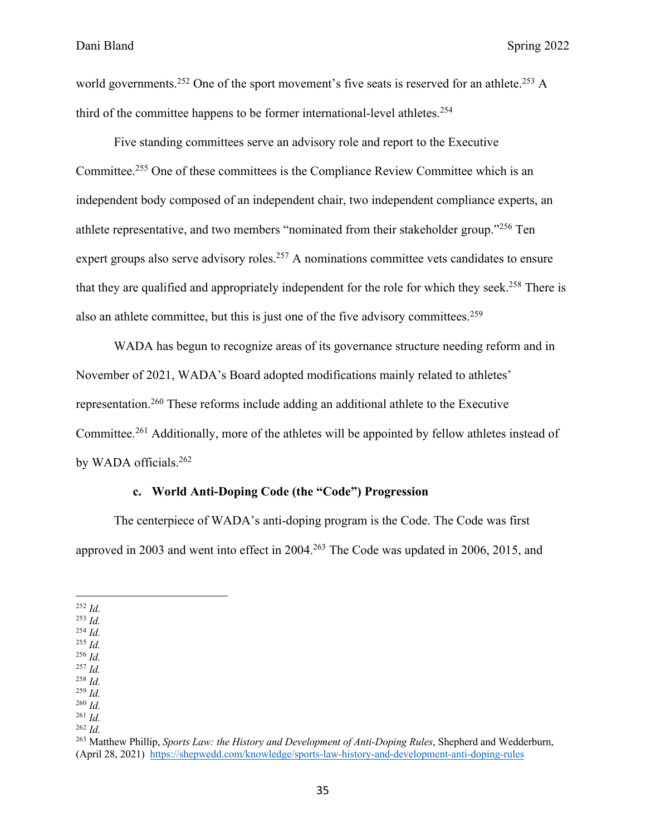world governments.<sup>252</sup> One of the sport movement's five seats is reserved for an athlete.<sup>253</sup> A third of the committee happens to be former international-level athletes.<sup>254</sup>

Five standing committees serve an advisory role and report to the Executive Committee.255 One of these committees is the Compliance Review Committee which is an independent body composed of an independent chair, two independent compliance experts, an athlete representative, and two members "nominated from their stakeholder group."256 Ten expert groups also serve advisory roles.<sup>257</sup> A nominations committee vets candidates to ensure that they are qualified and appropriately independent for the role for which they seek.<sup>258</sup> There is also an athlete committee, but this is just one of the five advisory committees.259

WADA has begun to recognize areas of its governance structure needing reform and in November of 2021, WADA's Board adopted modifications mainly related to athletes' representation.260 These reforms include adding an additional athlete to the Executive Committee.261 Additionally, more of the athletes will be appointed by fellow athletes instead of by WADA officials.262

#### **c. World Anti-Doping Code (the "Code") Progression**

The centerpiece of WADA's anti-doping program is the Code. The Code was first approved in 2003 and went into effect in 2004.263 The Code was updated in 2006, 2015, and

- <sup>253</sup> *Id.*
- <sup>254</sup> *Id.*
- <sup>255</sup> *Id.* <sup>256</sup> *Id.*
- <sup>257</sup> *Id.*
- <sup>258</sup> *Id.*
- <sup>259</sup> *Id.*

<sup>262</sup> *Id.*

<sup>252</sup> *Id.*

<sup>260</sup> *Id.* <sup>261</sup> *Id.*

<sup>263</sup> Matthew Phillip, *Sports Law: the History and Development of Anti-Doping Rules*, Shepherd and Wedderburn, (April 28, 2021) https://shepwedd.com/knowledge/sports-law-history-and-development-anti-doping-rules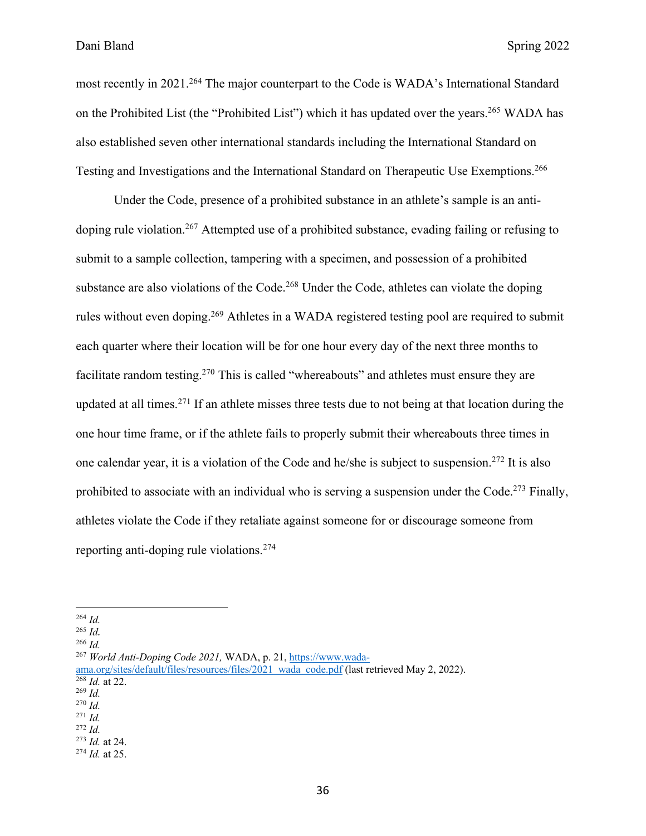most recently in 2021.<sup>264</sup> The major counterpart to the Code is WADA's International Standard on the Prohibited List (the "Prohibited List") which it has updated over the years.<sup>265</sup> WADA has also established seven other international standards including the International Standard on Testing and Investigations and the International Standard on Therapeutic Use Exemptions.266

Under the Code, presence of a prohibited substance in an athlete's sample is an antidoping rule violation.<sup>267</sup> Attempted use of a prohibited substance, evading failing or refusing to submit to a sample collection, tampering with a specimen, and possession of a prohibited substance are also violations of the Code.<sup>268</sup> Under the Code, athletes can violate the doping rules without even doping.<sup>269</sup> Athletes in a WADA registered testing pool are required to submit each quarter where their location will be for one hour every day of the next three months to facilitate random testing.<sup>270</sup> This is called "whereabouts" and athletes must ensure they are updated at all times.<sup>271</sup> If an athlete misses three tests due to not being at that location during the one hour time frame, or if the athlete fails to properly submit their whereabouts three times in one calendar year, it is a violation of the Code and he/she is subject to suspension. <sup>272</sup> It is also prohibited to associate with an individual who is serving a suspension under the Code.<sup>273</sup> Finally, athletes violate the Code if they retaliate against someone for or discourage someone from reporting anti-doping rule violations.274

<sup>264</sup> *Id.*

<sup>265</sup> *Id.*

<sup>266</sup> *Id.*

<sup>267</sup> *World Anti-Doping Code 2021,* WADA, p. 21, https://www.wada-

ama.org/sites/default/files/resources/files/2021\_wada\_code.pdf (last retrieved May 2, 2022). <sup>268</sup> *Id.* at 22.

<sup>269</sup> *Id.*

<sup>270</sup> *Id.*

<sup>271</sup> *Id.*

<sup>272</sup> *Id.*

<sup>273</sup> *Id.* at 24. <sup>274</sup> *Id.* at 25.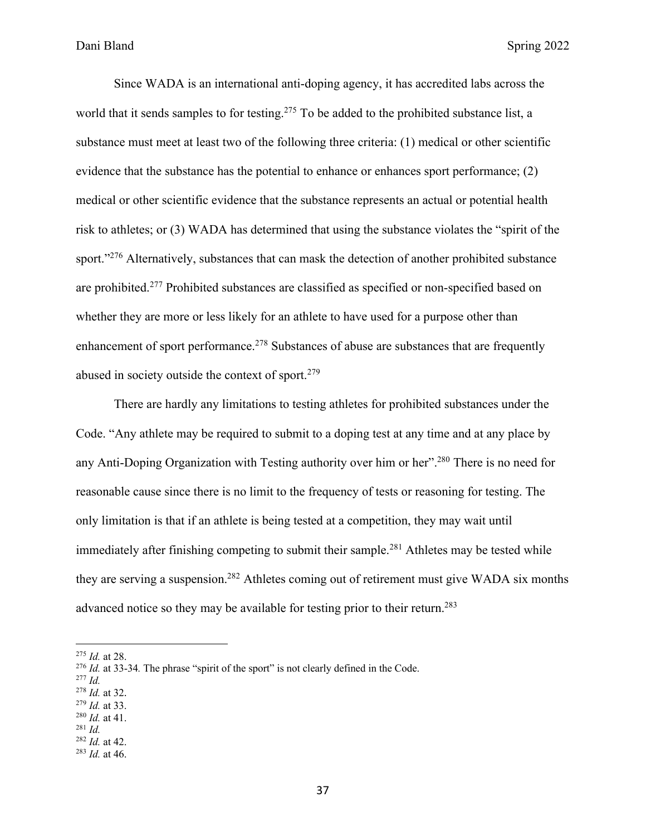Since WADA is an international anti-doping agency, it has accredited labs across the world that it sends samples to for testing.<sup>275</sup> To be added to the prohibited substance list, a substance must meet at least two of the following three criteria: (1) medical or other scientific evidence that the substance has the potential to enhance or enhances sport performance; (2) medical or other scientific evidence that the substance represents an actual or potential health risk to athletes; or (3) WADA has determined that using the substance violates the "spirit of the sport."<sup>276</sup> Alternatively, substances that can mask the detection of another prohibited substance are prohibited.277 Prohibited substances are classified as specified or non-specified based on whether they are more or less likely for an athlete to have used for a purpose other than enhancement of sport performance.278 Substances of abuse are substances that are frequently abused in society outside the context of sport. $279$ 

There are hardly any limitations to testing athletes for prohibited substances under the Code. "Any athlete may be required to submit to a doping test at any time and at any place by any Anti-Doping Organization with Testing authority over him or her".280 There is no need for reasonable cause since there is no limit to the frequency of tests or reasoning for testing. The only limitation is that if an athlete is being tested at a competition, they may wait until immediately after finishing competing to submit their sample.<sup>281</sup> Athletes may be tested while they are serving a suspension.<sup>282</sup> Athletes coming out of retirement must give WADA six months advanced notice so they may be available for testing prior to their return.<sup>283</sup>

- <sup>277</sup> *Id.*
- <sup>278</sup> *Id.* at 32.
- <sup>279</sup> *Id.* at 33. <sup>280</sup> *Id.* at 41.
- <sup>281</sup> *Id.*
- <sup>282</sup> *Id.* at 42.
- <sup>283</sup> *Id.* at 46.

<sup>275</sup> *Id.* at 28.

<sup>276</sup> *Id.* at 33-34*.* The phrase "spirit of the sport" is not clearly defined in the Code.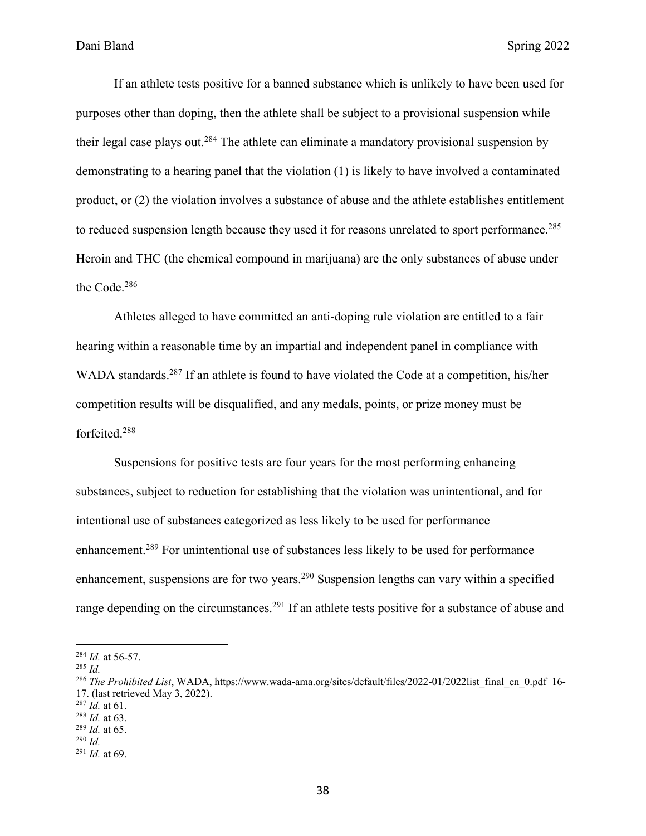If an athlete tests positive for a banned substance which is unlikely to have been used for purposes other than doping, then the athlete shall be subject to a provisional suspension while their legal case plays out.<sup>284</sup> The athlete can eliminate a mandatory provisional suspension by demonstrating to a hearing panel that the violation (1) is likely to have involved a contaminated product, or (2) the violation involves a substance of abuse and the athlete establishes entitlement to reduced suspension length because they used it for reasons unrelated to sport performance.<sup>285</sup> Heroin and THC (the chemical compound in marijuana) are the only substances of abuse under the Code.286

Athletes alleged to have committed an anti-doping rule violation are entitled to a fair hearing within a reasonable time by an impartial and independent panel in compliance with WADA standards.<sup>287</sup> If an athlete is found to have violated the Code at a competition, his/her competition results will be disqualified, and any medals, points, or prize money must be forfeited.288

Suspensions for positive tests are four years for the most performing enhancing substances, subject to reduction for establishing that the violation was unintentional, and for intentional use of substances categorized as less likely to be used for performance enhancement.289 For unintentional use of substances less likely to be used for performance enhancement, suspensions are for two years.<sup>290</sup> Suspension lengths can vary within a specified range depending on the circumstances.<sup>291</sup> If an athlete tests positive for a substance of abuse and

<sup>284</sup> *Id.* at 56-57.

<sup>285</sup> *Id.*

<sup>&</sup>lt;sup>286</sup> The Prohibited List, WADA, https://www.wada-ama.org/sites/default/files/2022-01/2022list\_final\_en\_0.pdf 16-17. (last retrieved May 3, 2022).

<sup>287</sup> *Id.* at 61.

<sup>288</sup> *Id.* at 63.

<sup>289</sup> *Id.* at 65.

<sup>290</sup> *Id.*

<sup>291</sup> *Id.* at 69.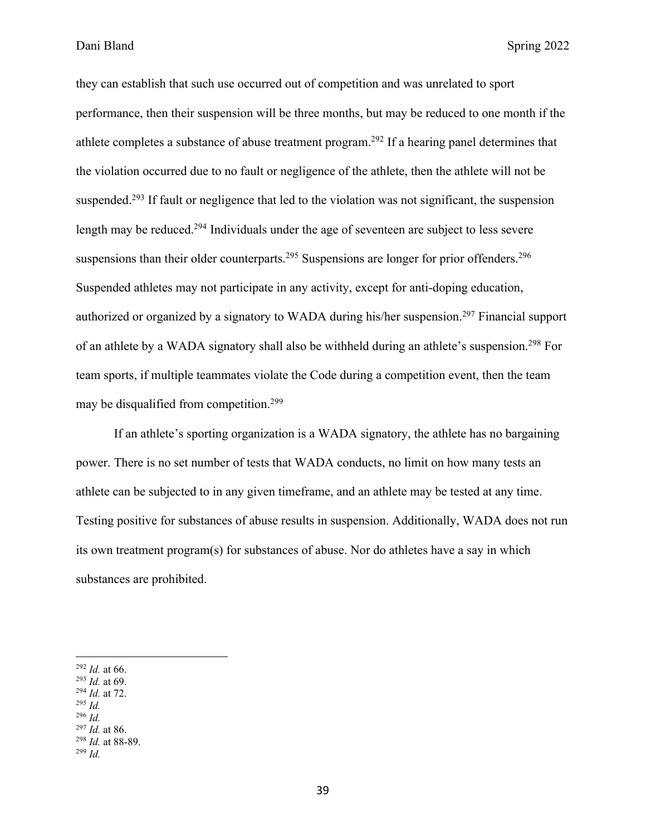they can establish that such use occurred out of competition and was unrelated to sport performance, then their suspension will be three months, but may be reduced to one month if the athlete completes a substance of abuse treatment program.292 If a hearing panel determines that the violation occurred due to no fault or negligence of the athlete, then the athlete will not be suspended.<sup>293</sup> If fault or negligence that led to the violation was not significant, the suspension length may be reduced.<sup>294</sup> Individuals under the age of seventeen are subject to less severe suspensions than their older counterparts.<sup>295</sup> Suspensions are longer for prior offenders.<sup>296</sup> Suspended athletes may not participate in any activity, except for anti-doping education, authorized or organized by a signatory to WADA during his/her suspension. <sup>297</sup> Financial support of an athlete by a WADA signatory shall also be withheld during an athlete's suspension.298 For team sports, if multiple teammates violate the Code during a competition event, then the team may be disqualified from competition.299

If an athlete's sporting organization is a WADA signatory, the athlete has no bargaining power. There is no set number of tests that WADA conducts, no limit on how many tests an athlete can be subjected to in any given timeframe, and an athlete may be tested at any time. Testing positive for substances of abuse results in suspension. Additionally, WADA does not run its own treatment program(s) for substances of abuse. Nor do athletes have a say in which substances are prohibited.

- <sup>294</sup> *Id.* at 72.
- <sup>295</sup> *Id.* <sup>296</sup> *Id.*
- <sup>297</sup> *Id.* at 86.

<sup>299</sup> *Id.*

<sup>292</sup> *Id.* at 66.

<sup>293</sup> *Id.* at 69.

<sup>298</sup> *Id.* at 88-89.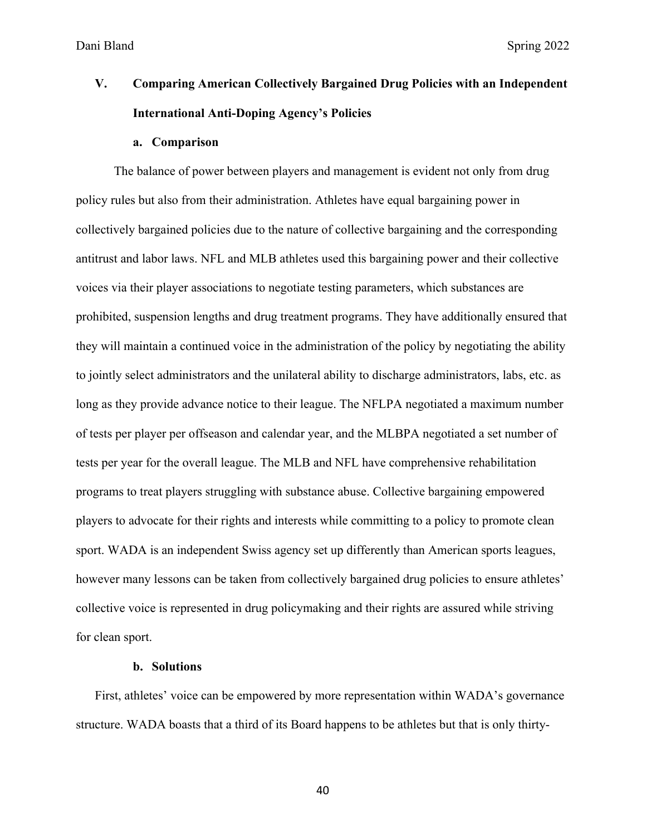# **V. Comparing American Collectively Bargained Drug Policies with an Independent International Anti-Doping Agency's Policies**

#### **a. Comparison**

The balance of power between players and management is evident not only from drug policy rules but also from their administration. Athletes have equal bargaining power in collectively bargained policies due to the nature of collective bargaining and the corresponding antitrust and labor laws. NFL and MLB athletes used this bargaining power and their collective voices via their player associations to negotiate testing parameters, which substances are prohibited, suspension lengths and drug treatment programs. They have additionally ensured that they will maintain a continued voice in the administration of the policy by negotiating the ability to jointly select administrators and the unilateral ability to discharge administrators, labs, etc. as long as they provide advance notice to their league. The NFLPA negotiated a maximum number of tests per player per offseason and calendar year, and the MLBPA negotiated a set number of tests per year for the overall league. The MLB and NFL have comprehensive rehabilitation programs to treat players struggling with substance abuse. Collective bargaining empowered players to advocate for their rights and interests while committing to a policy to promote clean sport. WADA is an independent Swiss agency set up differently than American sports leagues, however many lessons can be taken from collectively bargained drug policies to ensure athletes' collective voice is represented in drug policymaking and their rights are assured while striving for clean sport.

#### **b. Solutions**

First, athletes' voice can be empowered by more representation within WADA's governance structure. WADA boasts that a third of its Board happens to be athletes but that is only thirty-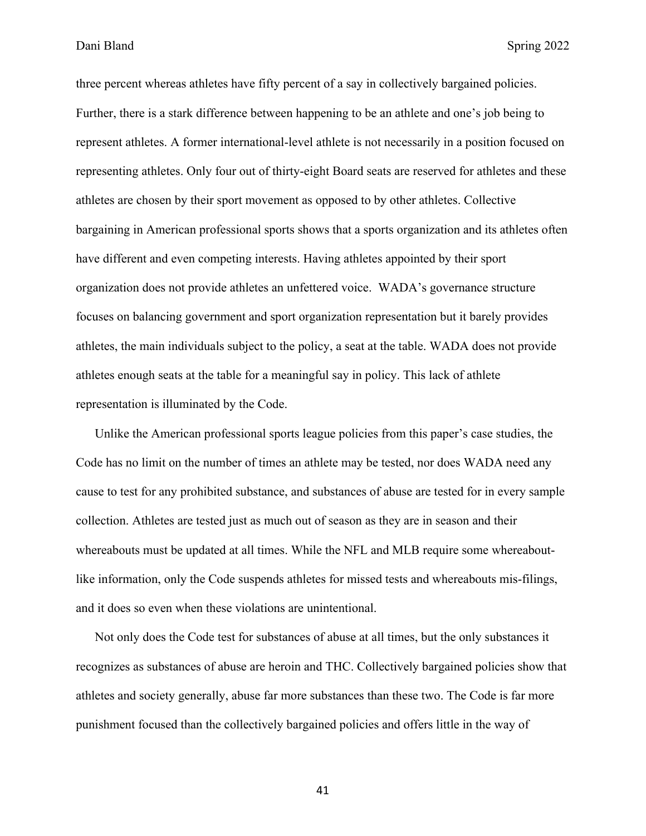three percent whereas athletes have fifty percent of a say in collectively bargained policies. Further, there is a stark difference between happening to be an athlete and one's job being to represent athletes. A former international-level athlete is not necessarily in a position focused on representing athletes. Only four out of thirty-eight Board seats are reserved for athletes and these athletes are chosen by their sport movement as opposed to by other athletes. Collective bargaining in American professional sports shows that a sports organization and its athletes often have different and even competing interests. Having athletes appointed by their sport organization does not provide athletes an unfettered voice. WADA's governance structure focuses on balancing government and sport organization representation but it barely provides athletes, the main individuals subject to the policy, a seat at the table. WADA does not provide athletes enough seats at the table for a meaningful say in policy. This lack of athlete representation is illuminated by the Code.

Unlike the American professional sports league policies from this paper's case studies, the Code has no limit on the number of times an athlete may be tested, nor does WADA need any cause to test for any prohibited substance, and substances of abuse are tested for in every sample collection. Athletes are tested just as much out of season as they are in season and their whereabouts must be updated at all times. While the NFL and MLB require some whereaboutlike information, only the Code suspends athletes for missed tests and whereabouts mis-filings, and it does so even when these violations are unintentional.

Not only does the Code test for substances of abuse at all times, but the only substances it recognizes as substances of abuse are heroin and THC. Collectively bargained policies show that athletes and society generally, abuse far more substances than these two. The Code is far more punishment focused than the collectively bargained policies and offers little in the way of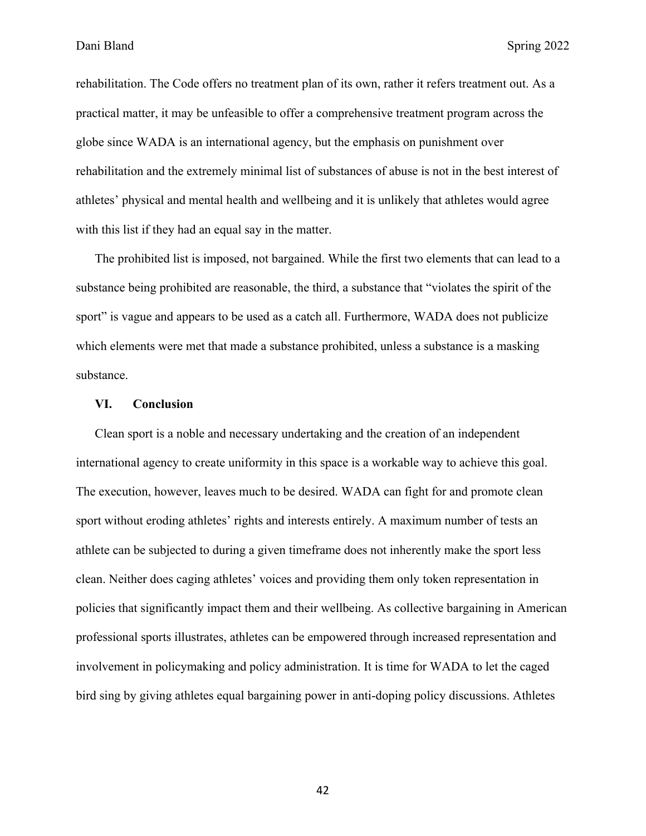rehabilitation. The Code offers no treatment plan of its own, rather it refers treatment out. As a practical matter, it may be unfeasible to offer a comprehensive treatment program across the globe since WADA is an international agency, but the emphasis on punishment over rehabilitation and the extremely minimal list of substances of abuse is not in the best interest of athletes' physical and mental health and wellbeing and it is unlikely that athletes would agree with this list if they had an equal say in the matter.

The prohibited list is imposed, not bargained. While the first two elements that can lead to a substance being prohibited are reasonable, the third, a substance that "violates the spirit of the sport" is vague and appears to be used as a catch all. Furthermore, WADA does not publicize which elements were met that made a substance prohibited, unless a substance is a masking substance.

#### **VI. Conclusion**

Clean sport is a noble and necessary undertaking and the creation of an independent international agency to create uniformity in this space is a workable way to achieve this goal. The execution, however, leaves much to be desired. WADA can fight for and promote clean sport without eroding athletes' rights and interests entirely. A maximum number of tests an athlete can be subjected to during a given timeframe does not inherently make the sport less clean. Neither does caging athletes' voices and providing them only token representation in policies that significantly impact them and their wellbeing. As collective bargaining in American professional sports illustrates, athletes can be empowered through increased representation and involvement in policymaking and policy administration. It is time for WADA to let the caged bird sing by giving athletes equal bargaining power in anti-doping policy discussions. Athletes